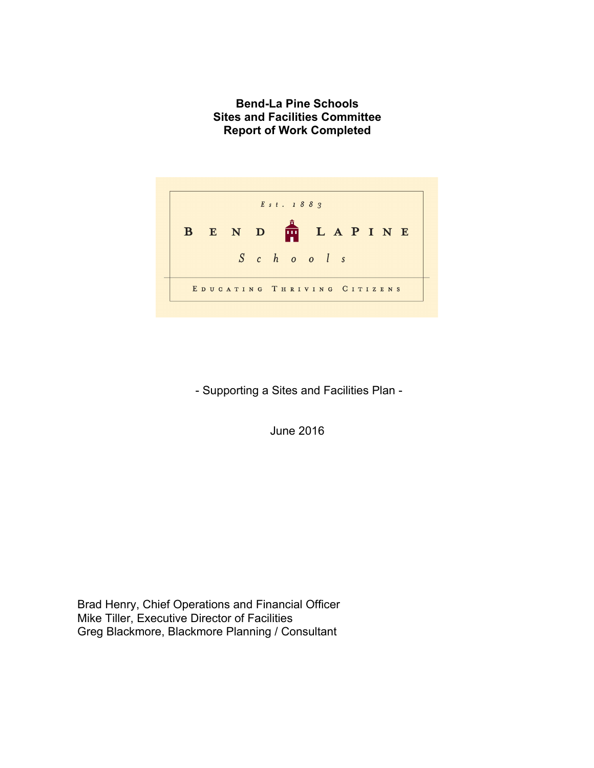**Bend-La Pine Schools Sites and Facilities Committee Report of Work Completed**



- Supporting a Sites and Facilities Plan -

June 2016

Brad Henry, Chief Operations and Financial Officer Mike Tiller, Executive Director of Facilities Greg Blackmore, Blackmore Planning / Consultant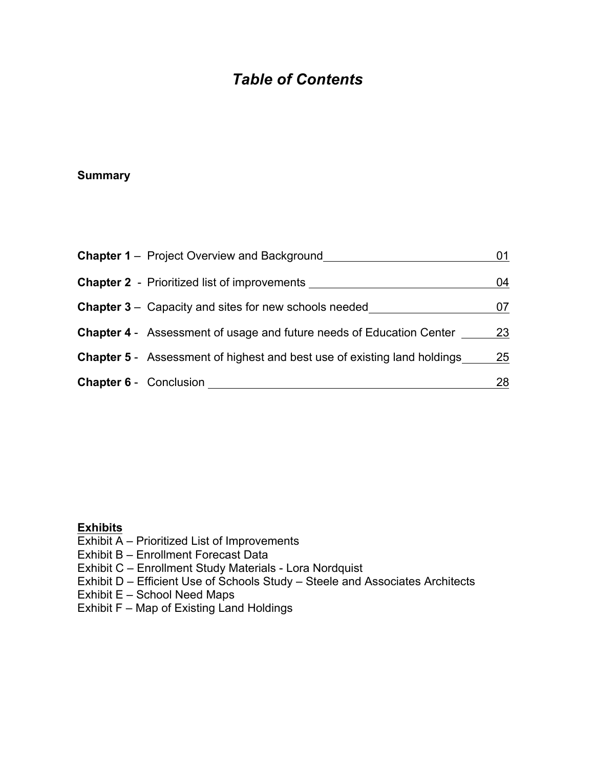# *Table of Contents*

## **Summary**

| <b>Chapter 1</b> – Project Overview and Background                              | 01 |
|---------------------------------------------------------------------------------|----|
| <b>Chapter 2</b> - Prioritized list of improvements                             | 04 |
| <b>Chapter 3</b> – Capacity and sites for new schools needed                    | 07 |
| <b>Chapter 4</b> - Assessment of usage and future needs of Education Center     | 23 |
| <b>Chapter 5</b> - Assessment of highest and best use of existing land holdings | 25 |
| <b>Chapter 6 - Conclusion</b>                                                   | 28 |

#### **Exhibits**

Exhibit A – Prioritized List of Improvements

- Exhibit B Enrollment Forecast Data
- Exhibit C Enrollment Study Materials Lora Nordquist
- Exhibit D Efficient Use of Schools Study Steele and Associates Architects
- Exhibit E School Need Maps
- Exhibit F Map of Existing Land Holdings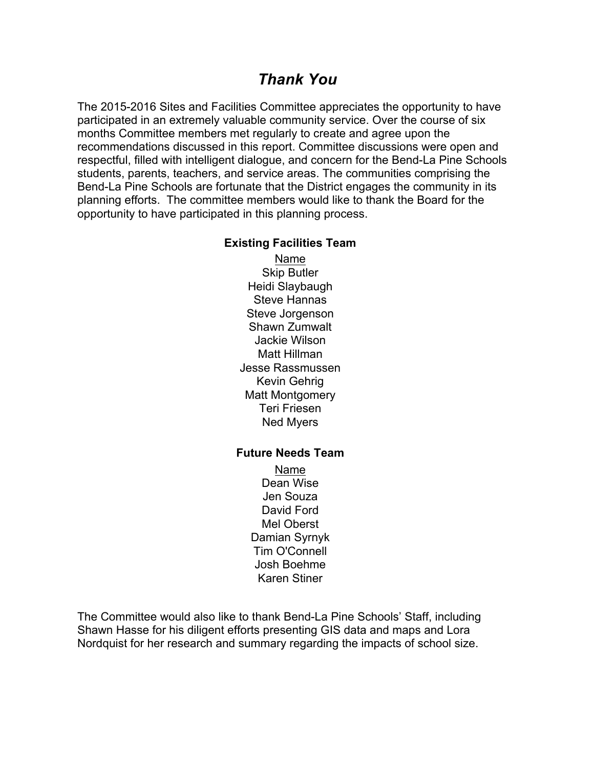## *Thank You*

The 2015-2016 Sites and Facilities Committee appreciates the opportunity to have participated in an extremely valuable community service. Over the course of six months Committee members met regularly to create and agree upon the recommendations discussed in this report. Committee discussions were open and respectful, filled with intelligent dialogue, and concern for the Bend-La Pine Schools students, parents, teachers, and service areas. The communities comprising the Bend-La Pine Schools are fortunate that the District engages the community in its planning efforts. The committee members would like to thank the Board for the opportunity to have participated in this planning process.

#### **Existing Facilities Team**

Name Skip Butler Heidi Slaybaugh Steve Hannas Steve Jorgenson Shawn Zumwalt Jackie Wilson Matt Hillman Jesse Rassmussen Kevin Gehrig Matt Montgomery Teri Friesen Ned Myers

#### **Future Needs Team**

Name Dean Wise Jen Souza David Ford Mel Oberst Damian Syrnyk Tim O'Connell Josh Boehme Karen Stiner

The Committee would also like to thank Bend-La Pine Schools' Staff, including Shawn Hasse for his diligent efforts presenting GIS data and maps and Lora Nordquist for her research and summary regarding the impacts of school size.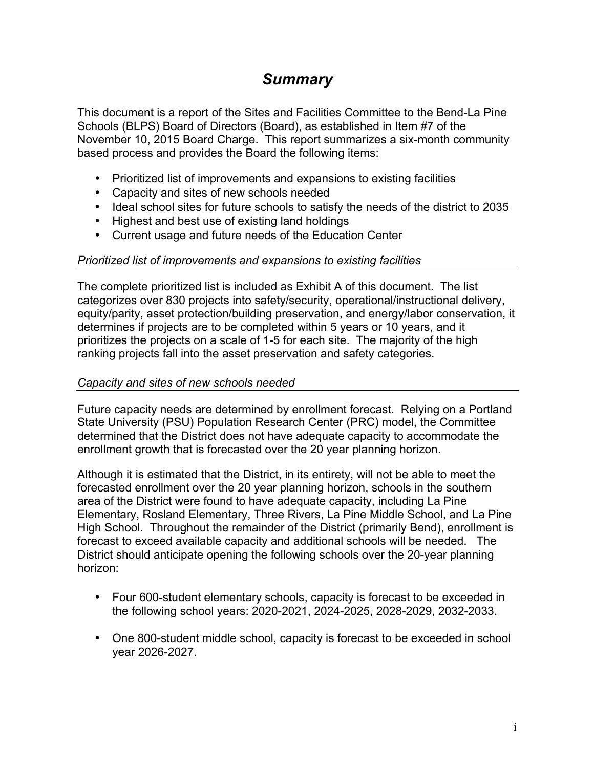# *Summary*

This document is a report of the Sites and Facilities Committee to the Bend-La Pine Schools (BLPS) Board of Directors (Board), as established in Item #7 of the November 10, 2015 Board Charge. This report summarizes a six-month community based process and provides the Board the following items:

- Prioritized list of improvements and expansions to existing facilities
- Capacity and sites of new schools needed
- Ideal school sites for future schools to satisfy the needs of the district to 2035
- Highest and best use of existing land holdings
- Current usage and future needs of the Education Center

#### *Prioritized list of improvements and expansions to existing facilities*

The complete prioritized list is included as Exhibit A of this document. The list categorizes over 830 projects into safety/security, operational/instructional delivery, equity/parity, asset protection/building preservation, and energy/labor conservation, it determines if projects are to be completed within 5 years or 10 years, and it prioritizes the projects on a scale of 1-5 for each site. The majority of the high ranking projects fall into the asset preservation and safety categories.

#### *Capacity and sites of new schools needed*

Future capacity needs are determined by enrollment forecast. Relying on a Portland State University (PSU) Population Research Center (PRC) model, the Committee determined that the District does not have adequate capacity to accommodate the enrollment growth that is forecasted over the 20 year planning horizon.

Although it is estimated that the District, in its entirety, will not be able to meet the forecasted enrollment over the 20 year planning horizon, schools in the southern area of the District were found to have adequate capacity, including La Pine Elementary, Rosland Elementary, Three Rivers, La Pine Middle School, and La Pine High School. Throughout the remainder of the District (primarily Bend), enrollment is forecast to exceed available capacity and additional schools will be needed. The District should anticipate opening the following schools over the 20-year planning horizon:

- Four 600-student elementary schools, capacity is forecast to be exceeded in the following school years: 2020-2021, 2024-2025, 2028-2029, 2032-2033.
- One 800-student middle school, capacity is forecast to be exceeded in school year 2026-2027.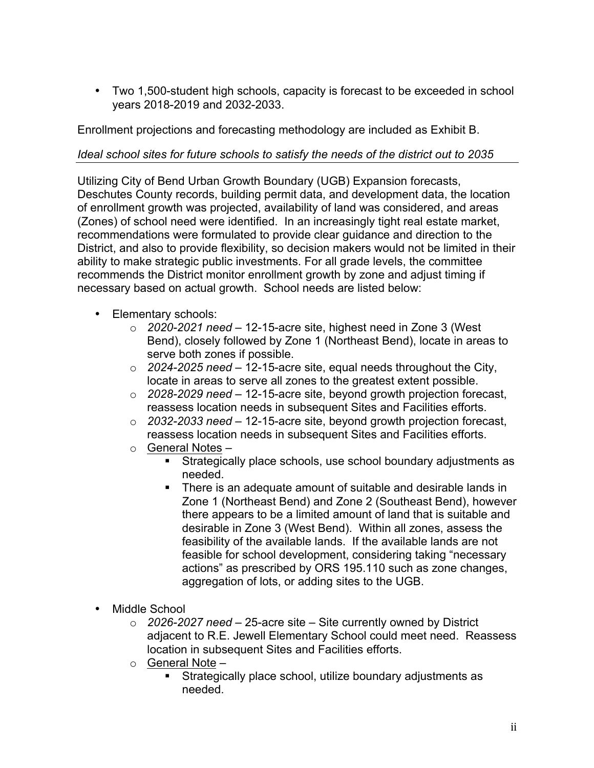• Two 1,500-student high schools, capacity is forecast to be exceeded in school years 2018-2019 and 2032-2033.

Enrollment projections and forecasting methodology are included as Exhibit B.

## *Ideal school sites for future schools to satisfy the needs of the district out to 2035*

Utilizing City of Bend Urban Growth Boundary (UGB) Expansion forecasts, Deschutes County records, building permit data, and development data, the location of enrollment growth was projected, availability of land was considered, and areas (Zones) of school need were identified. In an increasingly tight real estate market, recommendations were formulated to provide clear guidance and direction to the District, and also to provide flexibility, so decision makers would not be limited in their ability to make strategic public investments. For all grade levels, the committee recommends the District monitor enrollment growth by zone and adjust timing if necessary based on actual growth. School needs are listed below:

- Elementary schools:
	- o *2020-2021 need* 12-15-acre site, highest need in Zone 3 (West Bend), closely followed by Zone 1 (Northeast Bend), locate in areas to serve both zones if possible.
	- o *2024-2025 need* 12-15-acre site, equal needs throughout the City, locate in areas to serve all zones to the greatest extent possible.
	- o *2028-2029 need* 12-15-acre site, beyond growth projection forecast, reassess location needs in subsequent Sites and Facilities efforts.
	- o *2032-2033 need* 12-15-acre site, beyond growth projection forecast, reassess location needs in subsequent Sites and Facilities efforts.
	- o General Notes
		- § Strategically place schools, use school boundary adjustments as needed.
		- There is an adequate amount of suitable and desirable lands in Zone 1 (Northeast Bend) and Zone 2 (Southeast Bend), however there appears to be a limited amount of land that is suitable and desirable in Zone 3 (West Bend). Within all zones, assess the feasibility of the available lands. If the available lands are not feasible for school development, considering taking "necessary actions" as prescribed by ORS 195.110 such as zone changes, aggregation of lots, or adding sites to the UGB.
- Middle School
	- o *2026-2027 need* 25-acre site Site currently owned by District adjacent to R.E. Jewell Elementary School could meet need. Reassess location in subsequent Sites and Facilities efforts.
	- $\circ$  General Note
		- § Strategically place school, utilize boundary adjustments as needed.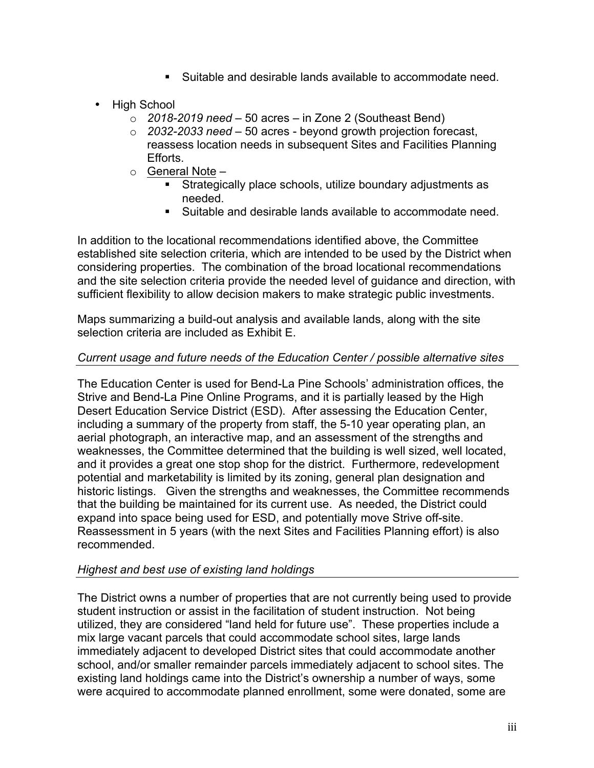- Suitable and desirable lands available to accommodate need.
- High School
	- o *2018-2019 need* 50 acres in Zone 2 (Southeast Bend)
	- o *2032-2033 need* 50 acres beyond growth projection forecast, reassess location needs in subsequent Sites and Facilities Planning Efforts.
	- o General Note
		- Strategically place schools, utilize boundary adjustments as needed.
		- Suitable and desirable lands available to accommodate need.

In addition to the locational recommendations identified above, the Committee established site selection criteria, which are intended to be used by the District when considering properties. The combination of the broad locational recommendations and the site selection criteria provide the needed level of guidance and direction, with sufficient flexibility to allow decision makers to make strategic public investments.

Maps summarizing a build-out analysis and available lands, along with the site selection criteria are included as Exhibit E.

#### *Current usage and future needs of the Education Center / possible alternative sites*

The Education Center is used for Bend-La Pine Schools' administration offices, the Strive and Bend-La Pine Online Programs, and it is partially leased by the High Desert Education Service District (ESD). After assessing the Education Center, including a summary of the property from staff, the 5-10 year operating plan, an aerial photograph, an interactive map, and an assessment of the strengths and weaknesses, the Committee determined that the building is well sized, well located, and it provides a great one stop shop for the district. Furthermore, redevelopment potential and marketability is limited by its zoning, general plan designation and historic listings. Given the strengths and weaknesses, the Committee recommends that the building be maintained for its current use. As needed, the District could expand into space being used for ESD, and potentially move Strive off-site. Reassessment in 5 years (with the next Sites and Facilities Planning effort) is also recommended.

#### *Highest and best use of existing land holdings*

The District owns a number of properties that are not currently being used to provide student instruction or assist in the facilitation of student instruction. Not being utilized, they are considered "land held for future use". These properties include a mix large vacant parcels that could accommodate school sites, large lands immediately adjacent to developed District sites that could accommodate another school, and/or smaller remainder parcels immediately adjacent to school sites. The existing land holdings came into the District's ownership a number of ways, some were acquired to accommodate planned enrollment, some were donated, some are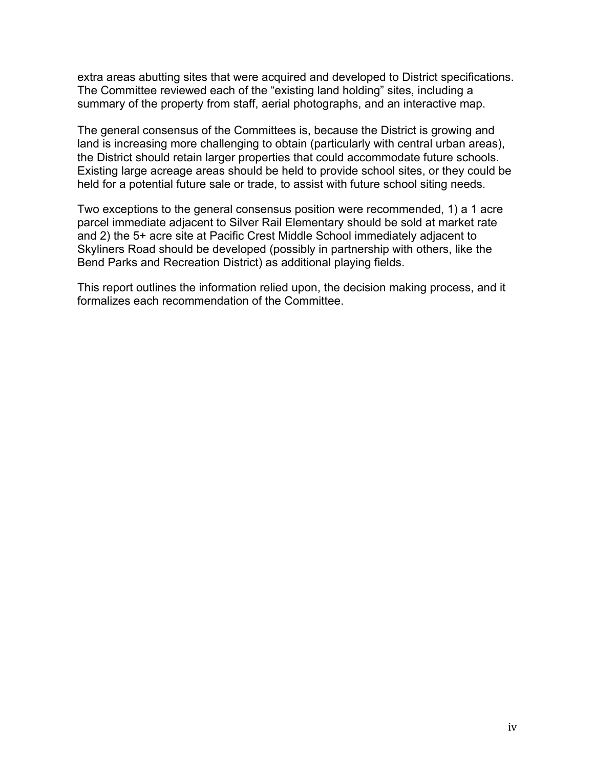extra areas abutting sites that were acquired and developed to District specifications. The Committee reviewed each of the "existing land holding" sites, including a summary of the property from staff, aerial photographs, and an interactive map.

The general consensus of the Committees is, because the District is growing and land is increasing more challenging to obtain (particularly with central urban areas), the District should retain larger properties that could accommodate future schools. Existing large acreage areas should be held to provide school sites, or they could be held for a potential future sale or trade, to assist with future school siting needs.

Two exceptions to the general consensus position were recommended, 1) a 1 acre parcel immediate adjacent to Silver Rail Elementary should be sold at market rate and 2) the 5+ acre site at Pacific Crest Middle School immediately adjacent to Skyliners Road should be developed (possibly in partnership with others, like the Bend Parks and Recreation District) as additional playing fields.

This report outlines the information relied upon, the decision making process, and it formalizes each recommendation of the Committee.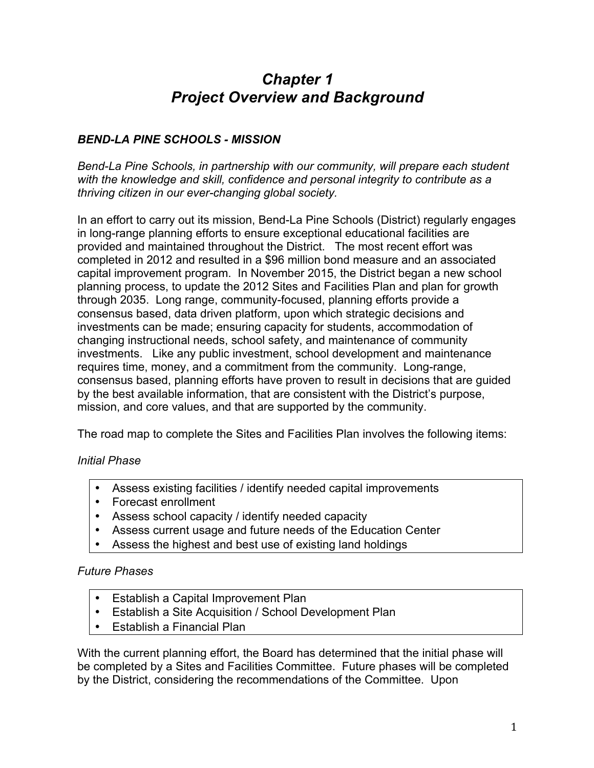# *Chapter 1 Project Overview and Background*

## *BEND-LA PINE SCHOOLS - MISSION*

*Bend-La Pine Schools, in partnership with our community, will prepare each student*  with the knowledge and skill, confidence and personal integrity to contribute as a *thriving citizen in our ever-changing global society.* 

In an effort to carry out its mission, Bend-La Pine Schools (District) regularly engages in long-range planning efforts to ensure exceptional educational facilities are provided and maintained throughout the District. The most recent effort was completed in 2012 and resulted in a \$96 million bond measure and an associated capital improvement program. In November 2015, the District began a new school planning process, to update the 2012 Sites and Facilities Plan and plan for growth through 2035. Long range, community-focused, planning efforts provide a consensus based, data driven platform, upon which strategic decisions and investments can be made; ensuring capacity for students, accommodation of changing instructional needs, school safety, and maintenance of community investments. Like any public investment, school development and maintenance requires time, money, and a commitment from the community. Long-range, consensus based, planning efforts have proven to result in decisions that are guided by the best available information, that are consistent with the District's purpose, mission, and core values, and that are supported by the community.

The road map to complete the Sites and Facilities Plan involves the following items:

## *Initial Phase*

- Assess existing facilities / identify needed capital improvements
- Forecast enrollment
- Assess school capacity / identify needed capacity
- Assess current usage and future needs of the Education Center
- Assess the highest and best use of existing land holdings

#### *Future Phases*

- Establish a Capital Improvement Plan
- Establish a Site Acquisition / School Development Plan
- Establish a Financial Plan

With the current planning effort, the Board has determined that the initial phase will be completed by a Sites and Facilities Committee. Future phases will be completed by the District, considering the recommendations of the Committee. Upon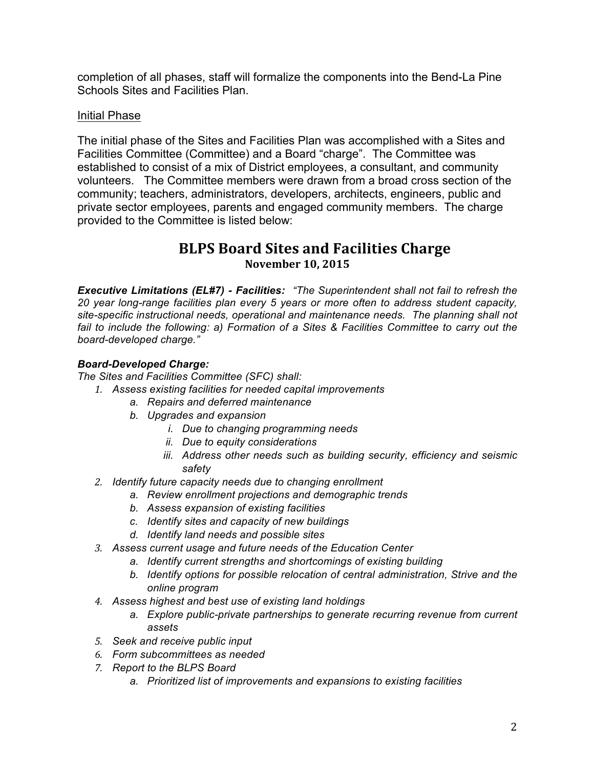completion of all phases, staff will formalize the components into the Bend-La Pine Schools Sites and Facilities Plan.

### Initial Phase

The initial phase of the Sites and Facilities Plan was accomplished with a Sites and Facilities Committee (Committee) and a Board "charge". The Committee was established to consist of a mix of District employees, a consultant, and community volunteers. The Committee members were drawn from a broad cross section of the community; teachers, administrators, developers, architects, engineers, public and private sector employees, parents and engaged community members. The charge provided to the Committee is listed below:

## **BLPS Board Sites and Facilities Charge November 10, 2015**

*Executive Limitations (EL#7) - Facilities: "The Superintendent shall not fail to refresh the 20 year long-range facilities plan every 5 years or more often to address student capacity, site-specific instructional needs, operational and maintenance needs. The planning shall not fail to include the following: a) Formation of a Sites & Facilities Committee to carry out the board-developed charge."*

#### *Board-Developed Charge:*

*The Sites and Facilities Committee (SFC) shall:*

- *1. Assess existing facilities for needed capital improvements* 
	- *a. Repairs and deferred maintenance*
	- *b. Upgrades and expansion*
		- *i. Due to changing programming needs*
		- *ii. Due to equity considerations*
		- *iii. Address other needs such as building security, efficiency and seismic safety*
- *2. Identify future capacity needs due to changing enrollment*
	- *a. Review enrollment projections and demographic trends*
	- *b. Assess expansion of existing facilities*
	- *c. Identify sites and capacity of new buildings*
	- *d. Identify land needs and possible sites*
- *3. Assess current usage and future needs of the Education Center*
	- *a. Identify current strengths and shortcomings of existing building*
	- *b. Identify options for possible relocation of central administration, Strive and the online program*
- *4. Assess highest and best use of existing land holdings*
	- *a. Explore public-private partnerships to generate recurring revenue from current assets*
- *5. Seek and receive public input*
- *6. Form subcommittees as needed*
- *7. Report to the BLPS Board* 
	- *a. Prioritized list of improvements and expansions to existing facilities*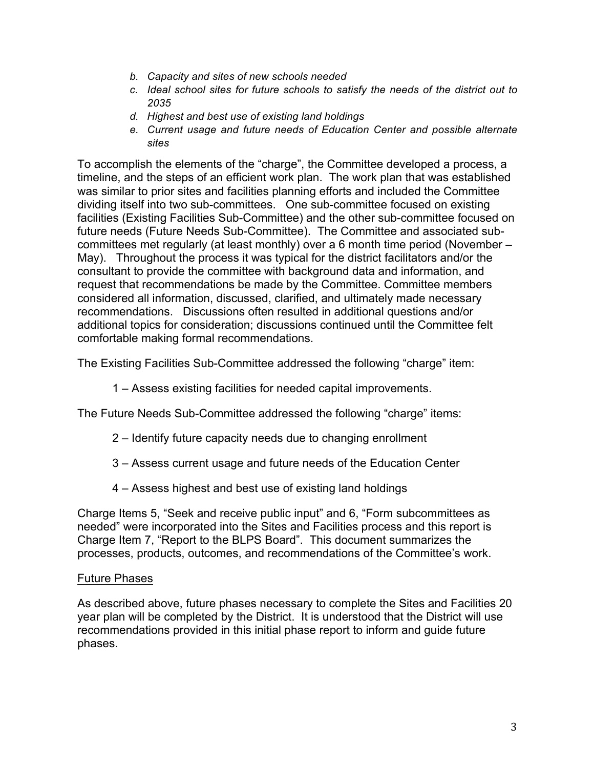- *b. Capacity and sites of new schools needed*
- *c. Ideal school sites for future schools to satisfy the needs of the district out to 2035*
- *d. Highest and best use of existing land holdings*
- *e. Current usage and future needs of Education Center and possible alternate sites*

To accomplish the elements of the "charge", the Committee developed a process, a timeline, and the steps of an efficient work plan. The work plan that was established was similar to prior sites and facilities planning efforts and included the Committee dividing itself into two sub-committees. One sub-committee focused on existing facilities (Existing Facilities Sub-Committee) and the other sub-committee focused on future needs (Future Needs Sub-Committee). The Committee and associated subcommittees met regularly (at least monthly) over a 6 month time period (November – May). Throughout the process it was typical for the district facilitators and/or the consultant to provide the committee with background data and information, and request that recommendations be made by the Committee. Committee members considered all information, discussed, clarified, and ultimately made necessary recommendations. Discussions often resulted in additional questions and/or additional topics for consideration; discussions continued until the Committee felt comfortable making formal recommendations.

The Existing Facilities Sub-Committee addressed the following "charge" item:

1 – Assess existing facilities for needed capital improvements.

The Future Needs Sub-Committee addressed the following "charge" items:

- 2 Identify future capacity needs due to changing enrollment
- 3 Assess current usage and future needs of the Education Center
- 4 Assess highest and best use of existing land holdings

Charge Items 5, "Seek and receive public input" and 6, "Form subcommittees as needed" were incorporated into the Sites and Facilities process and this report is Charge Item 7, "Report to the BLPS Board". This document summarizes the processes, products, outcomes, and recommendations of the Committee's work.

#### Future Phases

As described above, future phases necessary to complete the Sites and Facilities 20 year plan will be completed by the District. It is understood that the District will use recommendations provided in this initial phase report to inform and guide future phases.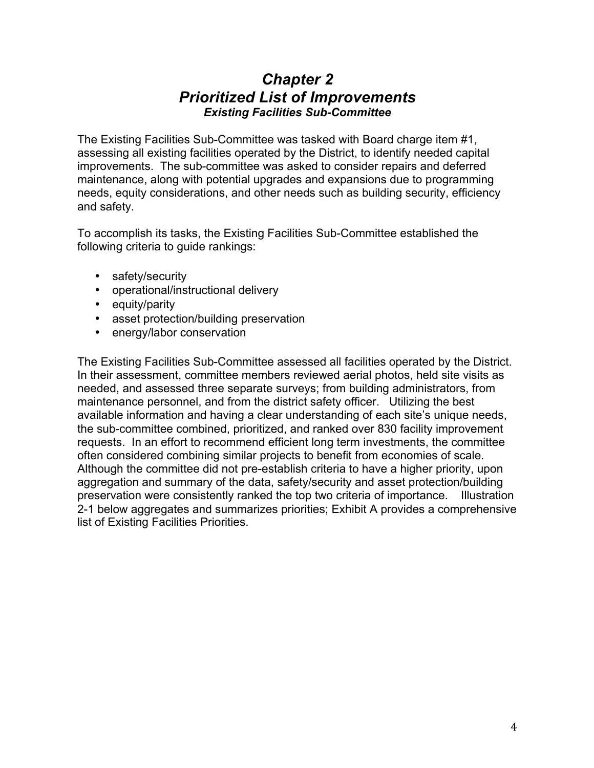## *Chapter 2 Prioritized List of Improvements Existing Facilities Sub-Committee*

The Existing Facilities Sub-Committee was tasked with Board charge item #1, assessing all existing facilities operated by the District, to identify needed capital improvements. The sub-committee was asked to consider repairs and deferred maintenance, along with potential upgrades and expansions due to programming needs, equity considerations, and other needs such as building security, efficiency and safety.

To accomplish its tasks, the Existing Facilities Sub-Committee established the following criteria to guide rankings:

- safety/security
- operational/instructional delivery
- equity/parity
- asset protection/building preservation
- energy/labor conservation

The Existing Facilities Sub-Committee assessed all facilities operated by the District. In their assessment, committee members reviewed aerial photos, held site visits as needed, and assessed three separate surveys; from building administrators, from maintenance personnel, and from the district safety officer. Utilizing the best available information and having a clear understanding of each site's unique needs, the sub-committee combined, prioritized, and ranked over 830 facility improvement requests. In an effort to recommend efficient long term investments, the committee often considered combining similar projects to benefit from economies of scale. Although the committee did not pre-establish criteria to have a higher priority, upon aggregation and summary of the data, safety/security and asset protection/building preservation were consistently ranked the top two criteria of importance. Illustration 2-1 below aggregates and summarizes priorities; Exhibit A provides a comprehensive list of Existing Facilities Priorities.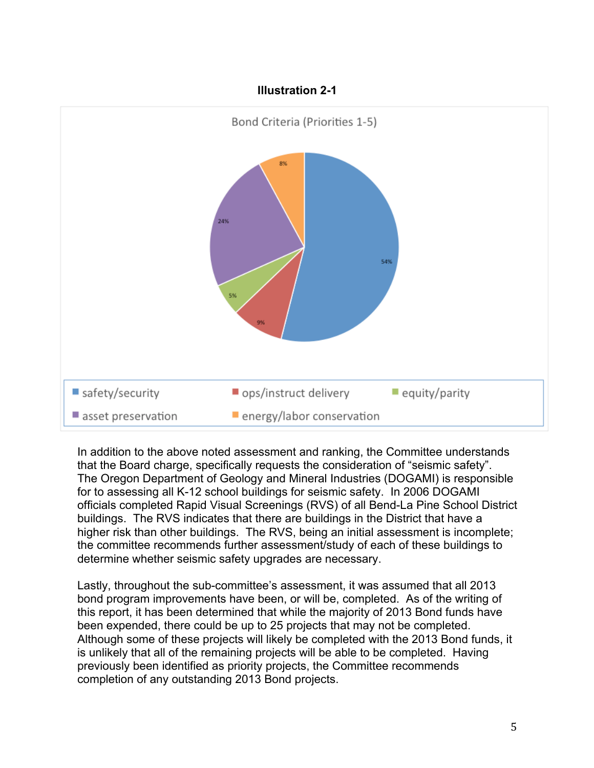#### **Illustration 2-1**



In addition to the above noted assessment and ranking, the Committee understands that the Board charge, specifically requests the consideration of "seismic safety". The Oregon Department of Geology and Mineral Industries (DOGAMI) is responsible for to assessing all K-12 school buildings for seismic safety. In 2006 DOGAMI officials completed Rapid Visual Screenings (RVS) of all Bend-La Pine School District buildings. The RVS indicates that there are buildings in the District that have a higher risk than other buildings. The RVS, being an initial assessment is incomplete; the committee recommends further assessment/study of each of these buildings to determine whether seismic safety upgrades are necessary.

Lastly, throughout the sub-committee's assessment, it was assumed that all 2013 bond program improvements have been, or will be, completed. As of the writing of this report, it has been determined that while the majority of 2013 Bond funds have been expended, there could be up to 25 projects that may not be completed. Although some of these projects will likely be completed with the 2013 Bond funds, it is unlikely that all of the remaining projects will be able to be completed. Having previously been identified as priority projects, the Committee recommends completion of any outstanding 2013 Bond projects.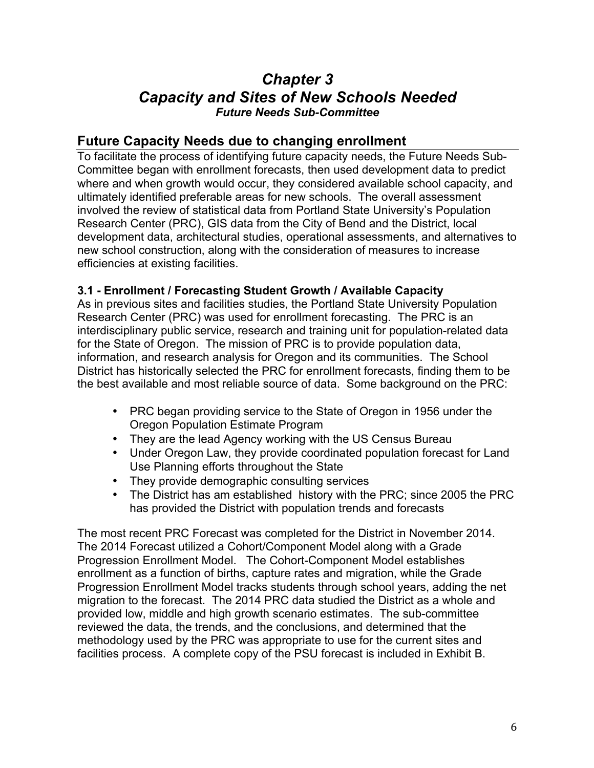## *Chapter 3 Capacity and Sites of New Schools Needed Future Needs Sub-Committee*

## **Future Capacity Needs due to changing enrollment**

To facilitate the process of identifying future capacity needs, the Future Needs Sub-Committee began with enrollment forecasts, then used development data to predict where and when growth would occur, they considered available school capacity, and ultimately identified preferable areas for new schools. The overall assessment involved the review of statistical data from Portland State University's Population Research Center (PRC), GIS data from the City of Bend and the District, local development data, architectural studies, operational assessments, and alternatives to new school construction, along with the consideration of measures to increase efficiencies at existing facilities.

## **3.1 - Enrollment / Forecasting Student Growth / Available Capacity**

As in previous sites and facilities studies, the Portland State University Population Research Center (PRC) was used for enrollment forecasting. The PRC is an interdisciplinary public service, research and training unit for population-related data for the State of Oregon. The mission of PRC is to provide population data, information, and research analysis for Oregon and its communities. The School District has historically selected the PRC for enrollment forecasts, finding them to be the best available and most reliable source of data. Some background on the PRC:

- PRC began providing service to the State of Oregon in 1956 under the Oregon Population Estimate Program
- They are the lead Agency working with the US Census Bureau
- Under Oregon Law, they provide coordinated population forecast for Land Use Planning efforts throughout the State
- They provide demographic consulting services
- The District has am established history with the PRC; since 2005 the PRC has provided the District with population trends and forecasts

The most recent PRC Forecast was completed for the District in November 2014. The 2014 Forecast utilized a Cohort/Component Model along with a Grade Progression Enrollment Model. The Cohort-Component Model establishes enrollment as a function of births, capture rates and migration, while the Grade Progression Enrollment Model tracks students through school years, adding the net migration to the forecast. The 2014 PRC data studied the District as a whole and provided low, middle and high growth scenario estimates. The sub-committee reviewed the data, the trends, and the conclusions, and determined that the methodology used by the PRC was appropriate to use for the current sites and facilities process. A complete copy of the PSU forecast is included in Exhibit B.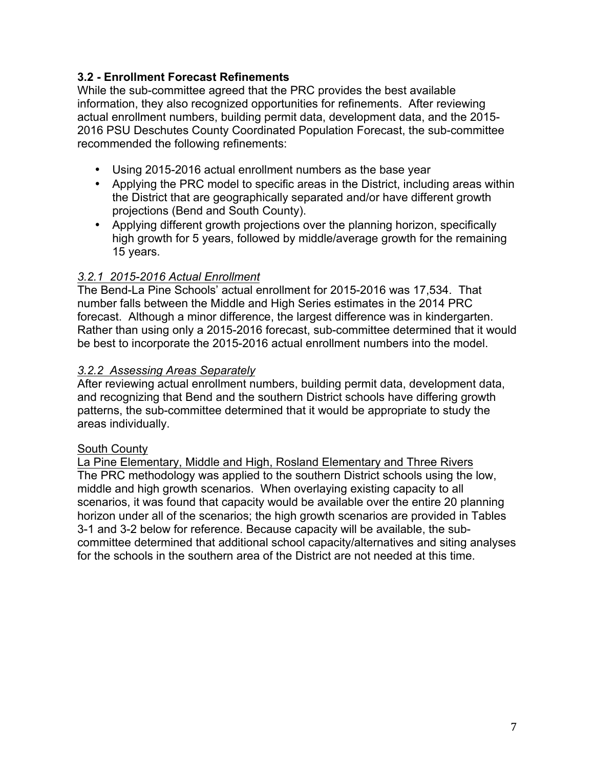## **3.2 - Enrollment Forecast Refinements**

While the sub-committee agreed that the PRC provides the best available information, they also recognized opportunities for refinements. After reviewing actual enrollment numbers, building permit data, development data, and the 2015- 2016 PSU Deschutes County Coordinated Population Forecast, the sub-committee recommended the following refinements:

- Using 2015-2016 actual enrollment numbers as the base year
- Applying the PRC model to specific areas in the District, including areas within the District that are geographically separated and/or have different growth projections (Bend and South County).
- Applying different growth projections over the planning horizon, specifically high growth for 5 years, followed by middle/average growth for the remaining 15 years.

## *3.2.1 2015-2016 Actual Enrollment*

The Bend-La Pine Schools' actual enrollment for 2015-2016 was 17,534. That number falls between the Middle and High Series estimates in the 2014 PRC forecast. Although a minor difference, the largest difference was in kindergarten. Rather than using only a 2015-2016 forecast, sub-committee determined that it would be best to incorporate the 2015-2016 actual enrollment numbers into the model.

## *3.2.2 Assessing Areas Separately*

After reviewing actual enrollment numbers, building permit data, development data, and recognizing that Bend and the southern District schools have differing growth patterns, the sub-committee determined that it would be appropriate to study the areas individually.

## South County

La Pine Elementary, Middle and High, Rosland Elementary and Three Rivers The PRC methodology was applied to the southern District schools using the low, middle and high growth scenarios. When overlaying existing capacity to all scenarios, it was found that capacity would be available over the entire 20 planning horizon under all of the scenarios; the high growth scenarios are provided in Tables 3-1 and 3-2 below for reference. Because capacity will be available, the subcommittee determined that additional school capacity/alternatives and siting analyses for the schools in the southern area of the District are not needed at this time.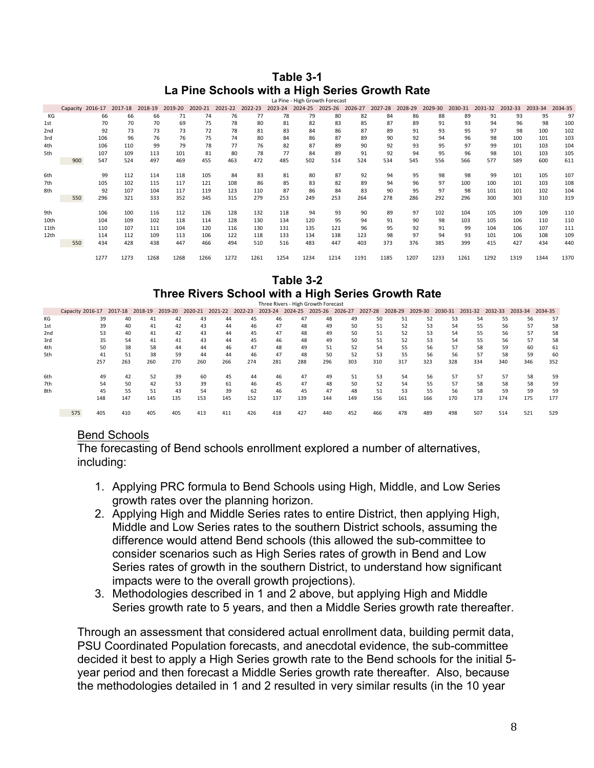#### **Table 3-1 La Pine Schools with a High Series Growth Rate**

|                 |          |         |         |         |         |         |         |         |         | La Pine - High Growth Forecast |         |         |         |         |         |         |         |         |         |         |
|-----------------|----------|---------|---------|---------|---------|---------|---------|---------|---------|--------------------------------|---------|---------|---------|---------|---------|---------|---------|---------|---------|---------|
|                 | Capacity | 2016-17 | 2017-18 | 2018-19 | 2019-20 | 2020-21 | 2021-22 | 2022-23 | 2023-24 | 2024-25                        | 2025-26 | 2026-27 | 2027-28 | 2028-29 | 2029-30 | 2030-31 | 2031-32 | 2032-33 | 2033-34 | 2034-35 |
| КG              |          | 66      | 66      | 66      | 71      | 74      | 76      | 77      | 78      | 79                             | 80      | 82      | 84      | 86      | 88      | 89      | 91      | 93      | 95      | 97      |
| 1st             |          | 70      | 70      | 70      | 69      | 75      | 78      | 80      | 81      | 82                             | 83      | 85      | 87      | 89      | 91      | 93      | 94      | 96      | 98      | 100     |
| 2 <sub>nd</sub> |          | 92      | 73      | 73      | 73      | 72      | 78      | 81      | 83      | 84                             | 86      | 87      | 89      | 91      | 93      | 95      | 97      | 98      | 100     | 102     |
| 3rd             |          | 106     | 96      | 76      | 76      | 75      | 74      | 80      | 84      | 86                             | 87      | 89      | 90      | 92      | 94      | 96      | 98      | 100     | 101     | 103     |
| 4th             |          | 106     | 110     | 99      | 79      | 78      | 77      | 76      | 82      | 87                             | 89      | 90      | 92      | 93      | 95      | 97      | 99      | 101     | 103     | 104     |
| 5th             |          | 107     | 109     | 113     | 101     | 81      | 80      | 78      | 77      | 84                             | 89      | 91      | 92      | 94      | 95      | 96      | 98      | 101     | 103     | 105     |
|                 | 900      | 547     | 524     | 497     | 469     | 455     | 463     | 472     | 485     | 502                            | 514     | 524     | 534     | 545     | 556     | 566     | 577     | 589     | 600     | 611     |
|                 |          |         |         |         |         |         |         |         |         |                                |         |         |         |         |         |         |         |         |         |         |
| 6th             |          | 99      | 112     | 114     | 118     | 105     | 84      | 83      | 81      | 80                             | 87      | 92      | 94      | 95      | 98      | 98      | 99      | 101     | 105     | 107     |
| 7th             |          | 105     | 102     | 115     | 117     | 121     | 108     | 86      | 85      | 83                             | 82      | 89      | 94      | 96      | 97      | 100     | 100     | 101     | 103     | 108     |
| 8th             |          | 92      | 107     | 104     | 117     | 119     | 123     | 110     | 87      | 86                             | 84      | 83      | 90      | 95      | 97      | 98      | 101     | 101     | 102     | 104     |
|                 | 550      | 296     | 321     | 333     | 352     | 345     | 315     | 279     | 253     | 249                            | 253     | 264     | 278     | 286     | 292     | 296     | 300     | 303     | 310     | 319     |
|                 |          |         |         |         |         |         |         |         |         |                                |         |         |         |         |         |         |         |         |         |         |
| 9th             |          | 106     | 100     | 116     | 112     | 126     | 128     | 132     | 118     | 94                             | 93      | 90      | 89      | 97      | 102     | 104     | 105     | 109     | 109     | 110     |
| 10th            |          | 104     | 109     | 102     | 118     | 114     | 128     | 130     | 134     | 120                            | 95      | 94      | 91      | 90      | 98      | 103     | 105     | 106     | 110     | 110     |
| 11th            |          | 110     | 107     | 111     | 104     | 120     | 116     | 130     | 131     | 135                            | 121     | 96      | 95      | 92      | 91      | 99      | 104     | 106     | 107     | 111     |
| 12th            |          | 114     | 112     | 109     | 113     | 106     | 122     | 118     | 133     | 134                            | 138     | 123     | 98      | 97      | 94      | 93      | 101     | 106     | 108     | 109     |
|                 | 550      | 434     | 428     | 438     | 447     | 466     | 494     | 510     | 516     | 483                            | 447     | 403     | 373     | 376     | 385     | 399     | 415     | 427     | 434     | 440     |
|                 |          |         |         |         |         |         |         |         |         |                                |         |         |         |         |         |         |         |         |         |         |
|                 |          | 1277    | 1273    | 1268    | 1268    | 1266    | 1272    | 1261    | 1254    | 1234                           | 1214    | 1191    | 1185    | 1207    | 1233    | 1261    | 1292    | 1319    | 1344    | 1370    |

## **Table 3-2 Three Rivers School with a High Series Growth Rate**

|                 |                  |         |         |         |         |         |         |         | Three Rivers - High Growth Forecast |         |         |         |         |         |         |         |         |         |         |
|-----------------|------------------|---------|---------|---------|---------|---------|---------|---------|-------------------------------------|---------|---------|---------|---------|---------|---------|---------|---------|---------|---------|
|                 | Capacity 2016-17 | 2017-18 | 2018-19 | 2019-20 | 2020-21 | 2021-22 | 2022-23 | 2023-24 | 2024-25                             | 2025-26 | 2026-27 | 2027-28 | 2028-29 | 2029-30 | 2030-31 | 2031-32 | 2032-33 | 2033-34 | 2034-35 |
| КG              | 39               | 40      | 41      | 42      | 43      | 44      | 45      | 46      | 47                                  | 48      | 49      | 50      | 51      | 52      | 53      | 54      | 55      | 56      | 57      |
| 1st             | 39               | 40      | 41      | 42      | 43      | 44      | 46      | 47      | 48                                  | 49      | 50      | 51      | 52      | 53      | 54      | 55      | 56      | 57      | 58      |
| 2 <sub>nd</sub> | 53               | 40      | 41      | 42      | 43      | 44      | 45      | 47      | 48                                  | 49      | 50      | 51      | 52      | 53      | 54      | 55      | 56      | 57      | 58      |
| 3rd             | 35               | 54      | 41      | 41      | 43      | 44      | 45      | 46      | 48                                  | 49      | 50      | 51      | 52      | 53      | 54      | 55      | 56      | 57      | 58      |
| 4th             | 50               | 38      | 58      | 44      | 44      | 46      | 47      | 48      | 49                                  | 51      | 52      | 54      | 55      | 56      | 57      | 58      | 59      | 60      | 61      |
| 5th             | 41               | 51      | 38      | 59      | 44      | 44      | 46      | 47      | 48                                  | 50      | 52      | 53      | 55      | 56      | 56      | 57      | 58      | 59      | 60      |
|                 | 257              | 263     | 260     | 270     | 260     | 266     | 274     | 281     | 288                                 | 296     | 303     | 310     | 317     | 323     | 328     | 334     | 340     | 346     | 352     |
| 6th             | 49               | 42      | 52      | 39      | 60      | 45      | 44      | 46      | 47                                  | 49      | 51      | 53      | 54      | 56      | 57      | 57      | 57      | 58      | 59      |
| 7th             | 54               | 50      | 42      | 53      | 39      | 61      | 46      | 45      | 47                                  | 48      | 50      | 52      | 54      | 55      | 57      | 58      | 58      | 58      | 59      |
| 8th             | 45               | 55      | 51      | 43      | 54      | 39      | 62      | 46      | 45                                  | 47      | 48      | 51      | 53      | 55      | 56      | 58      | 59      | 59      | 59      |
|                 | 148              | 147     | 145     | 135     | 153     | 145     | 152     | 137     | 139                                 | 144     | 149     | 156     | 161     | 166     | 170     | 173     | 174     | 175     | 177     |
|                 | 405<br>575       | 410     | 405     | 405     | 413     | 411     | 426     | 418     | 427                                 | 440     | 452     | 466     | 478     | 489     | 498     | 507     | 514     | 521     | 529     |

#### Bend Schools

The forecasting of Bend schools enrollment explored a number of alternatives, including:

- 1. Applying PRC formula to Bend Schools using High, Middle, and Low Series growth rates over the planning horizon.
- 2. Applying High and Middle Series rates to entire District, then applying High, Middle and Low Series rates to the southern District schools, assuming the difference would attend Bend schools (this allowed the sub-committee to consider scenarios such as High Series rates of growth in Bend and Low Series rates of growth in the southern District, to understand how significant impacts were to the overall growth projections).
- 3. Methodologies described in 1 and 2 above, but applying High and Middle Series growth rate to 5 years, and then a Middle Series growth rate thereafter.

Through an assessment that considered actual enrollment data, building permit data, PSU Coordinated Population forecasts, and anecdotal evidence, the sub-committee decided it best to apply a High Series growth rate to the Bend schools for the initial 5 year period and then forecast a Middle Series growth rate thereafter. Also, because the methodologies detailed in 1 and 2 resulted in very similar results (in the 10 year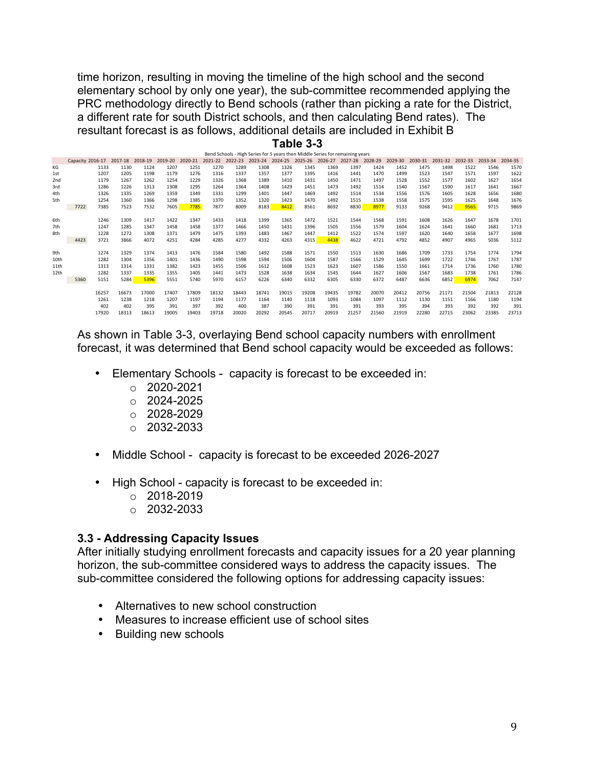time horizon, resulting in moving the timeline of the high school and the second elementary school by only one year), the sub-committee recommended applying the PRC methodology directly to Bend schools (rather than picking a rate for the District, a different rate for south District schools, and then calculating Bend rates). The resultant forecast is as follows, additional details are included in Exhibit B

|                                                                  | Table 3-3 |  |
|------------------------------------------------------------------|-----------|--|
| Band Schools - High Saries for 5 years than Middle Series for re |           |  |

|      |                  |       |         |         |             |         |         |         |         |         |         |         | perio Scribbis - Fright Series for Styles (Rens then imidate Series for remaining years |         |         |         |         |         |         |         |
|------|------------------|-------|---------|---------|-------------|---------|---------|---------|---------|---------|---------|---------|-----------------------------------------------------------------------------------------|---------|---------|---------|---------|---------|---------|---------|
|      | Capacity 2016-17 |       | 2017-18 | 2018-19 | 2019-20     | 2020-21 | 2021-22 | 2022-23 | 2023-24 | 2024-25 | 2025-26 | 2026-27 | 2027-28                                                                                 | 2028-29 | 2029-30 | 2030-31 | 2031-32 | 2032-33 | 2033-34 | 2034-35 |
| KG   |                  | 1133  | 1130    | 1124    | 1207        | 1251    | 1270    | 1289    | 1308    | 1326    | 1345    | 1369    | 1397                                                                                    | 1424    | 1452    | 1475    | 1498    | 1522    | 1546    | 1570    |
| 1st  |                  | 1207  | 1205    | 1198    | 1179        | 1276    | 1316    | 1337    | 1357    | 1377    | 1395    | 1416    | 1441                                                                                    | 1470    | 1499    | 1523    | 1547    | 1571    | 1597    | 1622    |
| 2nd  |                  | 1179  | 1267    | 1262    | 1254        | 1229    | 1326    | 1368    | 1389    | 1410    | 1431    | 1450    | 1471                                                                                    | 1497    | 1528    | 1552    | 1577    | 1602    | 1627    | 1654    |
| 3rd  |                  | 1286  | 1226    | 1313    | 1308        | 1295    | 1264    | 1364    | 1408    | 1429    | 1451    | 1473    | 1492                                                                                    | 1514    | 1540    | 1567    | 1590    | 1617    | 1641    | 1667    |
| 4th  |                  | 1326  | 1335    | 1269    | 1359        | 1349    | 1331    | 1299    | 1401    | 1447    | 1469    | 1492    | 1514                                                                                    | 1534    | 1556    | 1576    | 1605    | 1628    | 1656    | 1680    |
| 5th  |                  | 1254  | 1360    | 1366    | 1298        | 1385    | 1370    | 1352    | 1320    | 1423    | 1470    | 1492    | 1515                                                                                    | 1538    | 1558    | 1575    | 1595    | 1625    | 1648    | 1676    |
|      | 7722             | 7385  | 7523    | 7532    | <b>7605</b> | 7785    | 7877    | 8009    | 8183    | 8412    | 8561    | 8692    | 8830                                                                                    | 8977    | 9133    | 9268    | 9412    | 9565    | 9715    | 9869    |
|      |                  |       |         |         |             |         |         |         |         |         |         |         |                                                                                         |         |         |         |         |         |         |         |
| 6th  |                  | 1246  | 1309    | 1417    | 1422        | 1347    | 1433    | 1418    | 1399    | 1365    | 1472    | 1521    | 1544                                                                                    | 1568    | 1591    | 1608    | 1626    | 1647    | 1678    | 1701    |
| 7th  |                  | 1247  | 1285    | 1347    | 1458        | 1458    | 1377    | 1466    | 1450    | 1431    | 1396    | 1505    | 1556                                                                                    | 1579    | 1604    | 1624    | 1641    | 1660    | 1681    | 1713    |
| 8th  |                  | 1228  | 1272    | 1308    | 1371        | 1479    | 1475    | 1393    | 1483    | 1467    | 1447    | 1412    | 1522                                                                                    | 1574    | 1597    | 1620    | 1640    | 1658    | 1677    | 1698    |
|      | 4423             | 3721  | 3866    | 4072    | 4251        | 4284    | 4285    | 4277    | 4332    | 4263    | 4315    | 4438    | 4622                                                                                    | 4721    | 4792    | 4852    | 4907    | 4965    | 5036    | 5112    |
|      |                  |       |         |         |             |         |         |         |         |         |         |         |                                                                                         |         |         |         |         |         |         |         |
| 9th  |                  | 1274  | 1329    | 1374    | 1413        | 1476    | 1584    | 1580    | 1492    | 1588    | 1571    | 1550    | 1513                                                                                    | 1630    | 1686    | 1709    | 1733    | 1754    | 1774    | 1794    |
| 10th |                  | 1282  | 1304    | 1356    | 1401        | 1436    | 1490    | 1598    | 1594    | 1506    | 1604    | 1587    | 1566                                                                                    | 1529    | 1645    | 1699    | 1722    | 1746    | 1767    | 1787    |
| 11th |                  | 1313  | 1314    | 1331    | 1382        | 1423    | 1455    | 1506    | 1612    | 1608    | 1523    | 1623    | 1607                                                                                    | 1586    | 1550    | 1661    | 1714    | 1736    | 1760    | 1780    |
| 12th |                  | 1282  | 1337    | 1335    | 1355        | 1405    | 1441    | 1473    | 1528    | 1638    | 1634    | 1545    | 1644                                                                                    | 1627    | 1606    | 1567    | 1683    | 1738    | 1761    | 1786    |
|      | 5360             | 5151  | 5284    | 5396    | 5551        | 5740    | 5970    | 6157    | 6226    | 6340    | 6332    | 6305    | 6330                                                                                    | 6372    | 6487    | 6636    | 6852    | 6974    | 7062    | 7147    |
|      |                  |       |         |         |             |         |         |         |         |         |         |         |                                                                                         |         |         |         |         |         |         |         |
|      |                  | 16257 | 16673   | 17000   | 17407       | 17809   | 18132   | 18443   | 18741   | 19015   | 19208   | 19435   | 19782                                                                                   | 20070   | 20412   | 20756   | 21171   | 21504   | 21813   | 22128   |
|      |                  | 1261  | 1238    | 1218    | 1207        | 1197    | 1194    | 1177    | 1164    | 1140    | 1118    | 1093    | 1084                                                                                    | 1097    | 1112    | 1130    | 1151    | 1166    | 1180    | 1194    |
|      |                  | 402   | 402     | 395     | 391         | 397     | 392     | 400     | 387     | 390     | 391     | 391     | 391                                                                                     | 393     | 395     | 394     | 393     | 392     | 392     | 391     |
|      |                  | 17920 | 18313   | 18613   | 19005       | 19403   | 19718   | 20020   | 20292   | 20545   | 20717   | 20919   | 21257                                                                                   | 21560   | 21919   | 22280   | 22715   | 23062   | 23385   | 23713   |
|      |                  |       |         |         |             |         |         |         |         |         |         |         |                                                                                         |         |         |         |         |         |         |         |

As shown in Table 3-3, overlaying Bend school capacity numbers with enrollment forecast, it was determined that Bend school capacity would be exceeded as follows:

- Elementary Schools capacity is forecast to be exceeded in:
	- $\circ$  2020-2021
	- $O$  2024-2025
	- $O$  2028-2029
	- $O$  2032-2033
- Middle School capacity is forecast to be exceeded 2026-2027
- High School capacity is forecast to be exceeded in:
	- $o$  2018-2019
	- $O$  2032-2033

#### **3.3 - Addressing Capacity Issues**

After initially studying enrollment forecasts and capacity issues for a 20 year planning horizon, the sub-committee considered ways to address the capacity issues. The sub-committee considered the following options for addressing capacity issues:

- Alternatives to new school construction
- Measures to increase efficient use of school sites
- Building new schools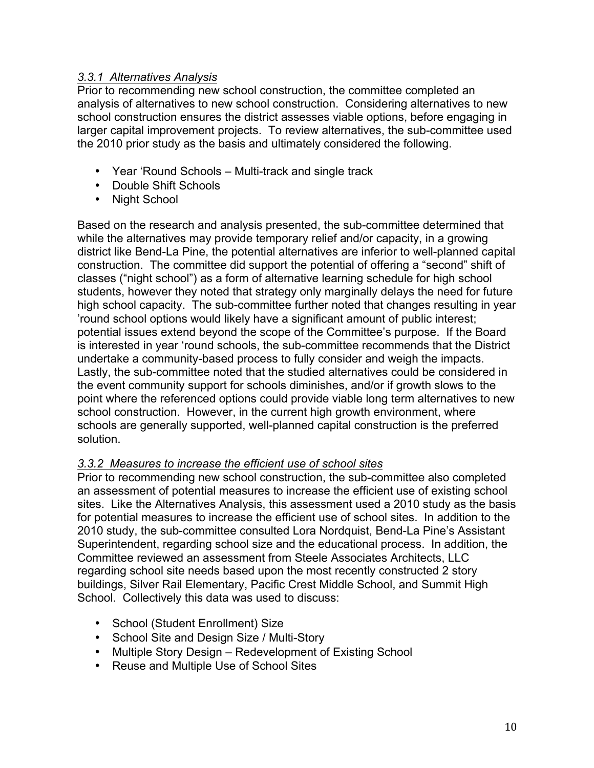## *3.3.1 Alternatives Analysis*

Prior to recommending new school construction, the committee completed an analysis of alternatives to new school construction. Considering alternatives to new school construction ensures the district assesses viable options, before engaging in larger capital improvement projects. To review alternatives, the sub-committee used the 2010 prior study as the basis and ultimately considered the following.

- Year 'Round Schools Multi-track and single track
- Double Shift Schools
- Night School

Based on the research and analysis presented, the sub-committee determined that while the alternatives may provide temporary relief and/or capacity, in a growing district like Bend-La Pine, the potential alternatives are inferior to well-planned capital construction. The committee did support the potential of offering a "second" shift of classes ("night school") as a form of alternative learning schedule for high school students, however they noted that strategy only marginally delays the need for future high school capacity. The sub-committee further noted that changes resulting in year 'round school options would likely have a significant amount of public interest; potential issues extend beyond the scope of the Committee's purpose. If the Board is interested in year 'round schools, the sub-committee recommends that the District undertake a community-based process to fully consider and weigh the impacts. Lastly, the sub-committee noted that the studied alternatives could be considered in the event community support for schools diminishes, and/or if growth slows to the point where the referenced options could provide viable long term alternatives to new school construction. However, in the current high growth environment, where schools are generally supported, well-planned capital construction is the preferred solution.

## *3.3.2 Measures to increase the efficient use of school sites*

Prior to recommending new school construction, the sub-committee also completed an assessment of potential measures to increase the efficient use of existing school sites. Like the Alternatives Analysis, this assessment used a 2010 study as the basis for potential measures to increase the efficient use of school sites. In addition to the 2010 study, the sub-committee consulted Lora Nordquist, Bend-La Pine's Assistant Superintendent, regarding school size and the educational process. In addition, the Committee reviewed an assessment from Steele Associates Architects, LLC regarding school site needs based upon the most recently constructed 2 story buildings, Silver Rail Elementary, Pacific Crest Middle School, and Summit High School. Collectively this data was used to discuss:

- School (Student Enrollment) Size
- School Site and Design Size / Multi-Story
- Multiple Story Design Redevelopment of Existing School
- Reuse and Multiple Use of School Sites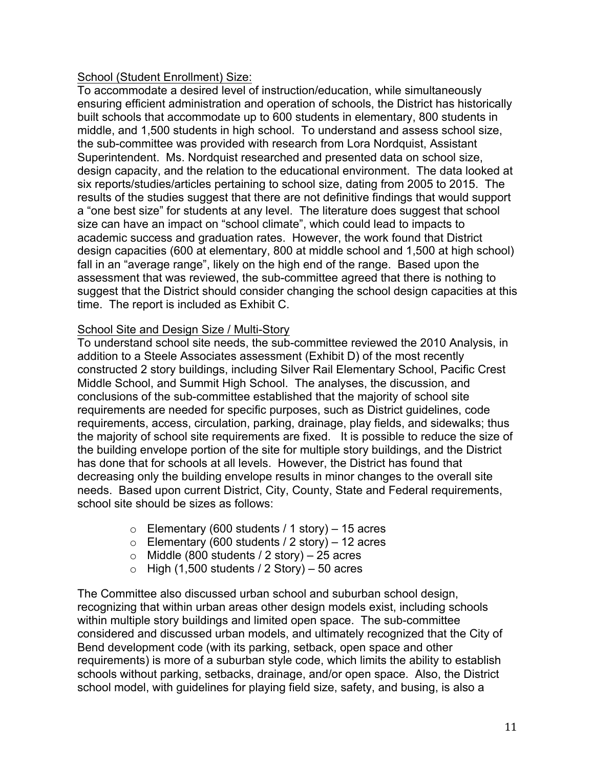#### School (Student Enrollment) Size:

To accommodate a desired level of instruction/education, while simultaneously ensuring efficient administration and operation of schools, the District has historically built schools that accommodate up to 600 students in elementary, 800 students in middle, and 1,500 students in high school. To understand and assess school size, the sub-committee was provided with research from Lora Nordquist, Assistant Superintendent. Ms. Nordquist researched and presented data on school size, design capacity, and the relation to the educational environment. The data looked at six reports/studies/articles pertaining to school size, dating from 2005 to 2015. The results of the studies suggest that there are not definitive findings that would support a "one best size" for students at any level. The literature does suggest that school size can have an impact on "school climate", which could lead to impacts to academic success and graduation rates. However, the work found that District design capacities (600 at elementary, 800 at middle school and 1,500 at high school) fall in an "average range", likely on the high end of the range. Based upon the assessment that was reviewed, the sub-committee agreed that there is nothing to suggest that the District should consider changing the school design capacities at this time. The report is included as Exhibit C.

## School Site and Design Size / Multi-Story

To understand school site needs, the sub-committee reviewed the 2010 Analysis, in addition to a Steele Associates assessment (Exhibit D) of the most recently constructed 2 story buildings, including Silver Rail Elementary School, Pacific Crest Middle School, and Summit High School. The analyses, the discussion, and conclusions of the sub-committee established that the majority of school site requirements are needed for specific purposes, such as District guidelines, code requirements, access, circulation, parking, drainage, play fields, and sidewalks; thus the majority of school site requirements are fixed. It is possible to reduce the size of the building envelope portion of the site for multiple story buildings, and the District has done that for schools at all levels. However, the District has found that decreasing only the building envelope results in minor changes to the overall site needs. Based upon current District, City, County, State and Federal requirements, school site should be sizes as follows:

- $\circ$  Elementary (600 students / 1 story) 15 acres
- $\circ$  Elementary (600 students / 2 story) 12 acres
- $\circ$  Middle (800 students / 2 story) 25 acres
- $\circ$  High (1,500 students / 2 Story) 50 acres

The Committee also discussed urban school and suburban school design, recognizing that within urban areas other design models exist, including schools within multiple story buildings and limited open space. The sub-committee considered and discussed urban models, and ultimately recognized that the City of Bend development code (with its parking, setback, open space and other requirements) is more of a suburban style code, which limits the ability to establish schools without parking, setbacks, drainage, and/or open space. Also, the District school model, with guidelines for playing field size, safety, and busing, is also a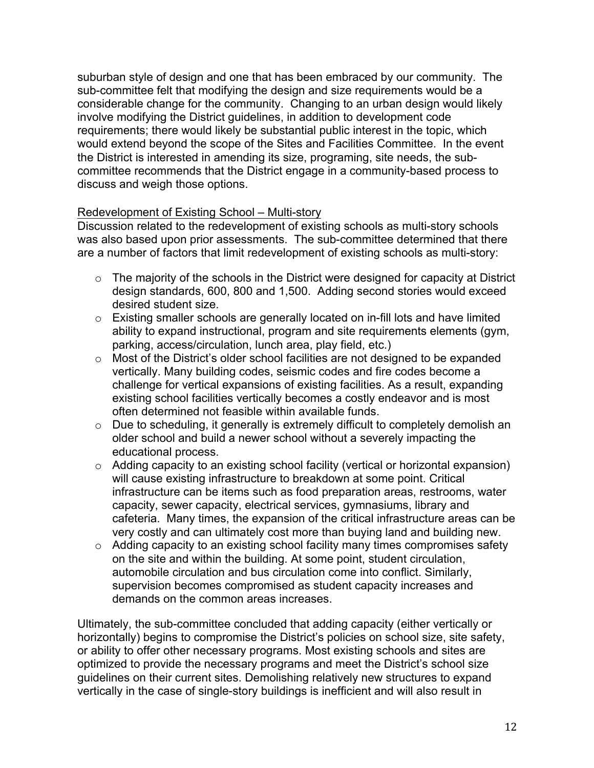suburban style of design and one that has been embraced by our community. The sub-committee felt that modifying the design and size requirements would be a considerable change for the community. Changing to an urban design would likely involve modifying the District guidelines, in addition to development code requirements; there would likely be substantial public interest in the topic, which would extend beyond the scope of the Sites and Facilities Committee. In the event the District is interested in amending its size, programing, site needs, the subcommittee recommends that the District engage in a community-based process to discuss and weigh those options.

#### Redevelopment of Existing School – Multi-story

Discussion related to the redevelopment of existing schools as multi-story schools was also based upon prior assessments. The sub-committee determined that there are a number of factors that limit redevelopment of existing schools as multi-story:

- o The majority of the schools in the District were designed for capacity at District design standards, 600, 800 and 1,500. Adding second stories would exceed desired student size.
- o Existing smaller schools are generally located on in-fill lots and have limited ability to expand instructional, program and site requirements elements (gym, parking, access/circulation, lunch area, play field, etc.)
- o Most of the District's older school facilities are not designed to be expanded vertically. Many building codes, seismic codes and fire codes become a challenge for vertical expansions of existing facilities. As a result, expanding existing school facilities vertically becomes a costly endeavor and is most often determined not feasible within available funds.
- o Due to scheduling, it generally is extremely difficult to completely demolish an older school and build a newer school without a severely impacting the educational process.
- o Adding capacity to an existing school facility (vertical or horizontal expansion) will cause existing infrastructure to breakdown at some point. Critical infrastructure can be items such as food preparation areas, restrooms, water capacity, sewer capacity, electrical services, gymnasiums, library and cafeteria. Many times, the expansion of the critical infrastructure areas can be very costly and can ultimately cost more than buying land and building new.
- o Adding capacity to an existing school facility many times compromises safety on the site and within the building. At some point, student circulation, automobile circulation and bus circulation come into conflict. Similarly, supervision becomes compromised as student capacity increases and demands on the common areas increases.

Ultimately, the sub-committee concluded that adding capacity (either vertically or horizontally) begins to compromise the District's policies on school size, site safety, or ability to offer other necessary programs. Most existing schools and sites are optimized to provide the necessary programs and meet the District's school size guidelines on their current sites. Demolishing relatively new structures to expand vertically in the case of single-story buildings is inefficient and will also result in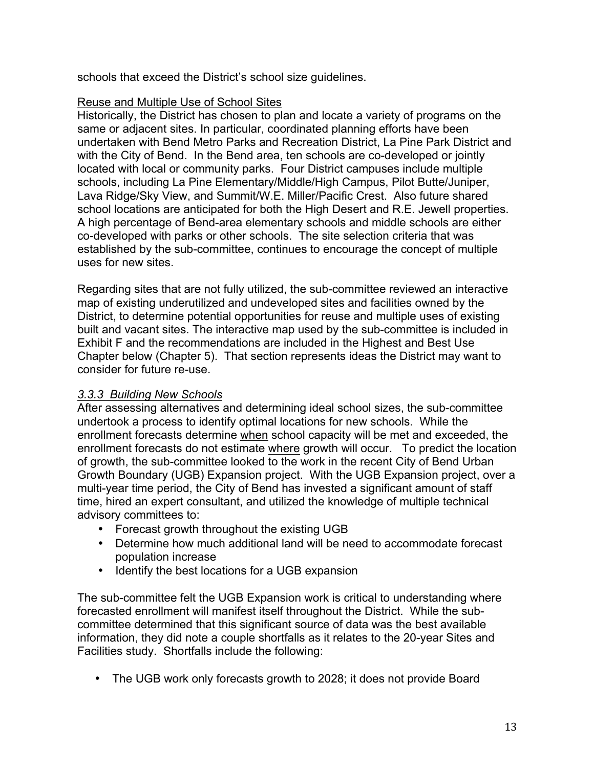schools that exceed the District's school size guidelines.

#### Reuse and Multiple Use of School Sites

Historically, the District has chosen to plan and locate a variety of programs on the same or adjacent sites. In particular, coordinated planning efforts have been undertaken with Bend Metro Parks and Recreation District, La Pine Park District and with the City of Bend. In the Bend area, ten schools are co-developed or jointly located with local or community parks. Four District campuses include multiple schools, including La Pine Elementary/Middle/High Campus, Pilot Butte/Juniper, Lava Ridge/Sky View, and Summit/W.E. Miller/Pacific Crest. Also future shared school locations are anticipated for both the High Desert and R.E. Jewell properties. A high percentage of Bend-area elementary schools and middle schools are either co-developed with parks or other schools. The site selection criteria that was established by the sub-committee, continues to encourage the concept of multiple uses for new sites.

Regarding sites that are not fully utilized, the sub-committee reviewed an interactive map of existing underutilized and undeveloped sites and facilities owned by the District, to determine potential opportunities for reuse and multiple uses of existing built and vacant sites. The interactive map used by the sub-committee is included in Exhibit F and the recommendations are included in the Highest and Best Use Chapter below (Chapter 5). That section represents ideas the District may want to consider for future re-use.

## *3.3.3 Building New Schools*

After assessing alternatives and determining ideal school sizes, the sub-committee undertook a process to identify optimal locations for new schools. While the enrollment forecasts determine when school capacity will be met and exceeded, the enrollment forecasts do not estimate where growth will occur. To predict the location of growth, the sub-committee looked to the work in the recent City of Bend Urban Growth Boundary (UGB) Expansion project. With the UGB Expansion project, over a multi-year time period, the City of Bend has invested a significant amount of staff time, hired an expert consultant, and utilized the knowledge of multiple technical advisory committees to:

- Forecast growth throughout the existing UGB
- Determine how much additional land will be need to accommodate forecast population increase
- Identify the best locations for a UGB expansion

The sub-committee felt the UGB Expansion work is critical to understanding where forecasted enrollment will manifest itself throughout the District. While the subcommittee determined that this significant source of data was the best available information, they did note a couple shortfalls as it relates to the 20-year Sites and Facilities study. Shortfalls include the following:

• The UGB work only forecasts growth to 2028; it does not provide Board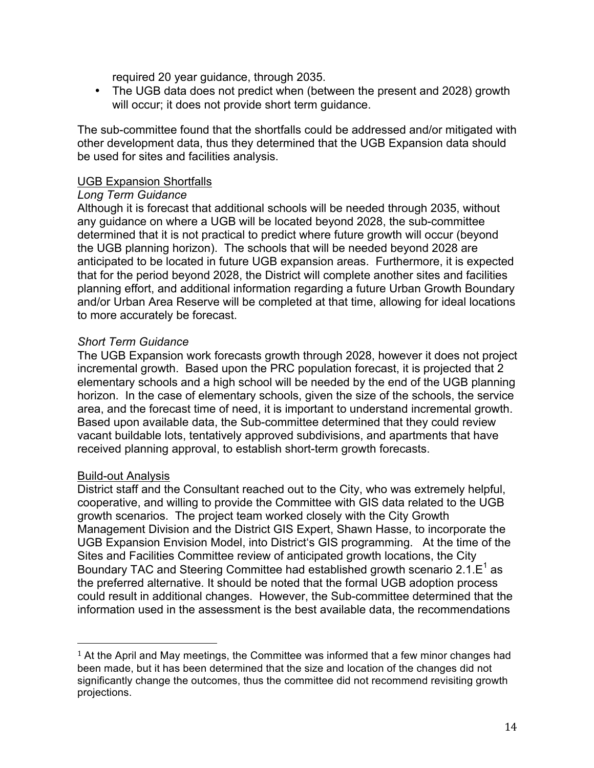required 20 year guidance, through 2035.

• The UGB data does not predict when (between the present and 2028) growth will occur; it does not provide short term guidance.

The sub-committee found that the shortfalls could be addressed and/or mitigated with other development data, thus they determined that the UGB Expansion data should be used for sites and facilities analysis.

#### UGB Expansion Shortfalls

#### *Long Term Guidance*

Although it is forecast that additional schools will be needed through 2035, without any guidance on where a UGB will be located beyond 2028, the sub-committee determined that it is not practical to predict where future growth will occur (beyond the UGB planning horizon). The schools that will be needed beyond 2028 are anticipated to be located in future UGB expansion areas. Furthermore, it is expected that for the period beyond 2028, the District will complete another sites and facilities planning effort, and additional information regarding a future Urban Growth Boundary and/or Urban Area Reserve will be completed at that time, allowing for ideal locations to more accurately be forecast.

#### *Short Term Guidance*

The UGB Expansion work forecasts growth through 2028, however it does not project incremental growth. Based upon the PRC population forecast, it is projected that 2 elementary schools and a high school will be needed by the end of the UGB planning horizon. In the case of elementary schools, given the size of the schools, the service area, and the forecast time of need, it is important to understand incremental growth. Based upon available data, the Sub-committee determined that they could review vacant buildable lots, tentatively approved subdivisions, and apartments that have received planning approval, to establish short-term growth forecasts.

#### Build-out Analysis

 

District staff and the Consultant reached out to the City, who was extremely helpful, cooperative, and willing to provide the Committee with GIS data related to the UGB growth scenarios. The project team worked closely with the City Growth Management Division and the District GIS Expert, Shawn Hasse, to incorporate the UGB Expansion Envision Model, into District's GIS programming. At the time of the Sites and Facilities Committee review of anticipated growth locations, the City Boundary TAC and Steering Committee had established growth scenario  $2.1.E<sup>1</sup>$  as the preferred alternative. It should be noted that the formal UGB adoption process could result in additional changes. However, the Sub-committee determined that the information used in the assessment is the best available data, the recommendations

 $1$  At the April and May meetings, the Committee was informed that a few minor changes had been made, but it has been determined that the size and location of the changes did not significantly change the outcomes, thus the committee did not recommend revisiting growth projections.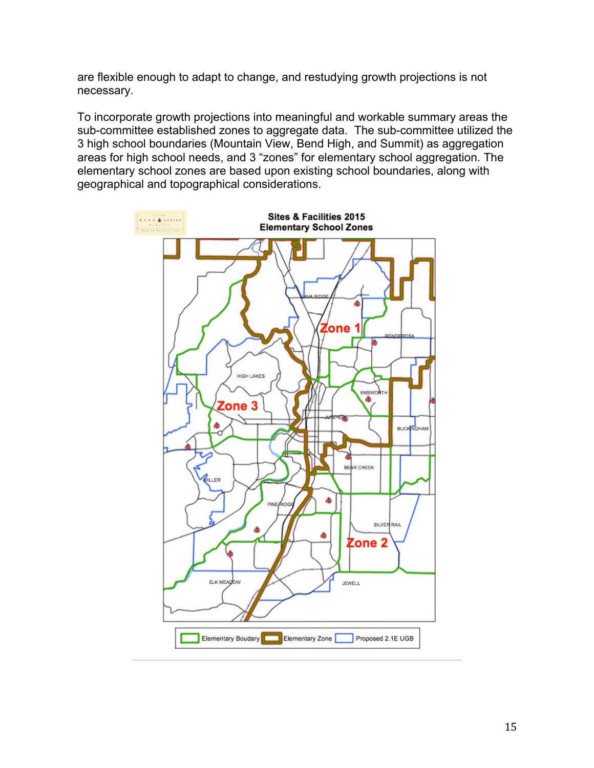are flexible enough to adapt to change, and restudying growth projections is not necessary.

To incorporate growth projections into meaningful and workable summary areas the sub-committee established zones to aggregate data. The sub-committee utilized the 3 high school boundaries (Mountain View, Bend High, and Summit) as aggregation areas for high school needs, and 3 "zones" for elementary school aggregation. The elementary school zones are based upon existing school boundaries, along with geographical and topographical considerations.

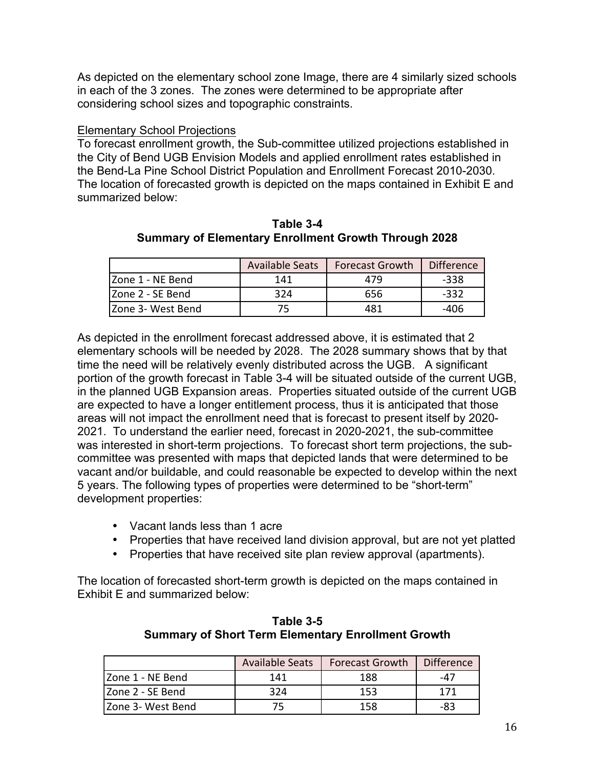As depicted on the elementary school zone Image, there are 4 similarly sized schools in each of the 3 zones. The zones were determined to be appropriate after considering school sizes and topographic constraints.

#### Elementary School Projections

To forecast enrollment growth, the Sub-committee utilized projections established in the City of Bend UGB Envision Models and applied enrollment rates established in the Bend-La Pine School District Population and Enrollment Forecast 2010-2030. The location of forecasted growth is depicted on the maps contained in Exhibit E and summarized below:

|                    | <b>Available Seats</b> | <b>Forecast Growth</b> | <b>Difference</b> |
|--------------------|------------------------|------------------------|-------------------|
| Zone 1 - NE Bend   | 141                    | 479                    | $-338$            |
| Zone 2 - SE Bend   | 324                    | 656                    | $-332$            |
| IZone 3- West Bend | 75                     | 481                    | -406              |

**Table 3-4 Summary of Elementary Enrollment Growth Through 2028**

As depicted in the enrollment forecast addressed above, it is estimated that 2 elementary schools will be needed by 2028. The 2028 summary shows that by that time the need will be relatively evenly distributed across the UGB. A significant portion of the growth forecast in Table 3-4 will be situated outside of the current UGB, in the planned UGB Expansion areas. Properties situated outside of the current UGB are expected to have a longer entitlement process, thus it is anticipated that those areas will not impact the enrollment need that is forecast to present itself by 2020- 2021. To understand the earlier need, forecast in 2020-2021, the sub-committee was interested in short-term projections. To forecast short term projections, the subcommittee was presented with maps that depicted lands that were determined to be vacant and/or buildable, and could reasonable be expected to develop within the next 5 years. The following types of properties were determined to be "short-term" development properties:

- Vacant lands less than 1 acre
- Properties that have received land division approval, but are not yet platted
- Properties that have received site plan review approval (apartments).

The location of forecasted short-term growth is depicted on the maps contained in Exhibit E and summarized below:

|                    | <b>Available Seats</b> | <b>Forecast Growth</b> | <b>Difference</b> |
|--------------------|------------------------|------------------------|-------------------|
| Zone 1 - NE Bend   | 141                    | 188                    | -47               |
| IZone 2 - SE Bend  | 324                    | 153                    | 171               |
| IZone 3- West Bend |                        | 158                    | -83               |

**Table 3-5 Summary of Short Term Elementary Enrollment Growth**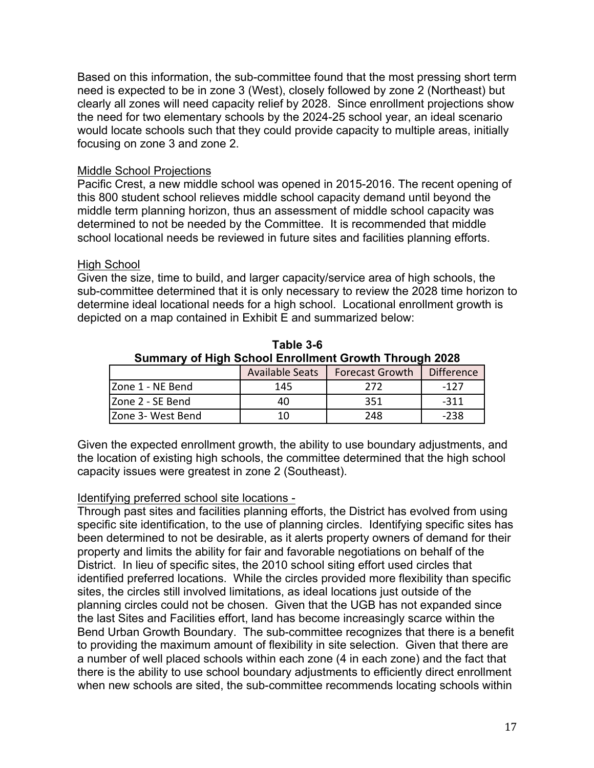Based on this information, the sub-committee found that the most pressing short term need is expected to be in zone 3 (West), closely followed by zone 2 (Northeast) but clearly all zones will need capacity relief by 2028. Since enrollment projections show the need for two elementary schools by the 2024-25 school year, an ideal scenario would locate schools such that they could provide capacity to multiple areas, initially focusing on zone 3 and zone 2.

#### Middle School Projections

Pacific Crest, a new middle school was opened in 2015-2016. The recent opening of this 800 student school relieves middle school capacity demand until beyond the middle term planning horizon, thus an assessment of middle school capacity was determined to not be needed by the Committee. It is recommended that middle school locational needs be reviewed in future sites and facilities planning efforts.

#### High School

Given the size, time to build, and larger capacity/service area of high schools, the sub-committee determined that it is only necessary to review the 2028 time horizon to determine ideal locational needs for a high school. Locational enrollment growth is depicted on a map contained in Exhibit E and summarized below:

| Summary of High School Enrollment Growth Through 2028 |                        |                        |                   |  |  |  |  |  |  |
|-------------------------------------------------------|------------------------|------------------------|-------------------|--|--|--|--|--|--|
|                                                       | <b>Available Seats</b> | <b>Forecast Growth</b> | <b>Difference</b> |  |  |  |  |  |  |
| Zone 1 - NE Bend                                      | 145                    | 272                    | $-127$            |  |  |  |  |  |  |
| Izone 2 - SE Bend                                     | 40                     | 351                    | $-311$            |  |  |  |  |  |  |
| Zone 3- West Bend                                     | 10                     | 248                    | $-238$            |  |  |  |  |  |  |

**Table 3-6 Summary of High School Enrollment Growth Through 2028**

Given the expected enrollment growth, the ability to use boundary adjustments, and the location of existing high schools, the committee determined that the high school capacity issues were greatest in zone 2 (Southeast).

#### Identifying preferred school site locations -

Through past sites and facilities planning efforts, the District has evolved from using specific site identification, to the use of planning circles. Identifying specific sites has been determined to not be desirable, as it alerts property owners of demand for their property and limits the ability for fair and favorable negotiations on behalf of the District. In lieu of specific sites, the 2010 school siting effort used circles that identified preferred locations. While the circles provided more flexibility than specific sites, the circles still involved limitations, as ideal locations just outside of the planning circles could not be chosen. Given that the UGB has not expanded since the last Sites and Facilities effort, land has become increasingly scarce within the Bend Urban Growth Boundary. The sub-committee recognizes that there is a benefit to providing the maximum amount of flexibility in site selection. Given that there are a number of well placed schools within each zone (4 in each zone) and the fact that there is the ability to use school boundary adjustments to efficiently direct enrollment when new schools are sited, the sub-committee recommends locating schools within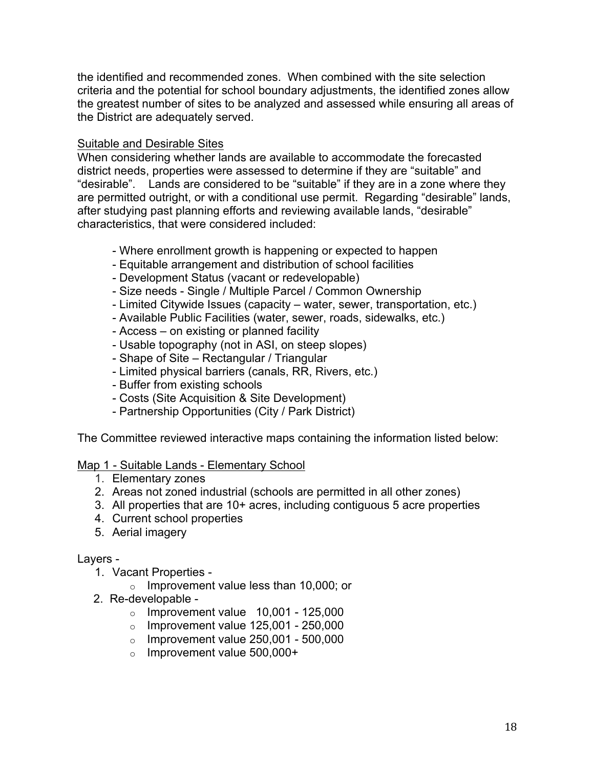the identified and recommended zones. When combined with the site selection criteria and the potential for school boundary adjustments, the identified zones allow the greatest number of sites to be analyzed and assessed while ensuring all areas of the District are adequately served.

## Suitable and Desirable Sites

When considering whether lands are available to accommodate the forecasted district needs, properties were assessed to determine if they are "suitable" and "desirable". Lands are considered to be "suitable" if they are in a zone where they are permitted outright, or with a conditional use permit. Regarding "desirable" lands, after studying past planning efforts and reviewing available lands, "desirable" characteristics, that were considered included:

- Where enrollment growth is happening or expected to happen
- Equitable arrangement and distribution of school facilities
- Development Status (vacant or redevelopable)
- Size needs Single / Multiple Parcel / Common Ownership
- Limited Citywide Issues (capacity water, sewer, transportation, etc.)
- Available Public Facilities (water, sewer, roads, sidewalks, etc.)
- Access on existing or planned facility
- Usable topography (not in ASI, on steep slopes)
- Shape of Site Rectangular / Triangular
- Limited physical barriers (canals, RR, Rivers, etc.)
- Buffer from existing schools
- Costs (Site Acquisition & Site Development)
- Partnership Opportunities (City / Park District)

The Committee reviewed interactive maps containing the information listed below:

## Map 1 - Suitable Lands - Elementary School

- 1. Elementary zones
- 2. Areas not zoned industrial (schools are permitted in all other zones)
- 3. All properties that are 10+ acres, including contiguous 5 acre properties
- 4. Current school properties
- 5. Aerial imagery

## Layers -

- 1. Vacant Properties
	- o Improvement value less than 10,000; or
- 2. Re-developable
	- $\circ$  Improvement value 10,001 125,000
	- $\circ$  Improvement value 125,001 250,000
	- $\circ$  Improvement value 250,001 500,000
	- o Improvement value 500,000+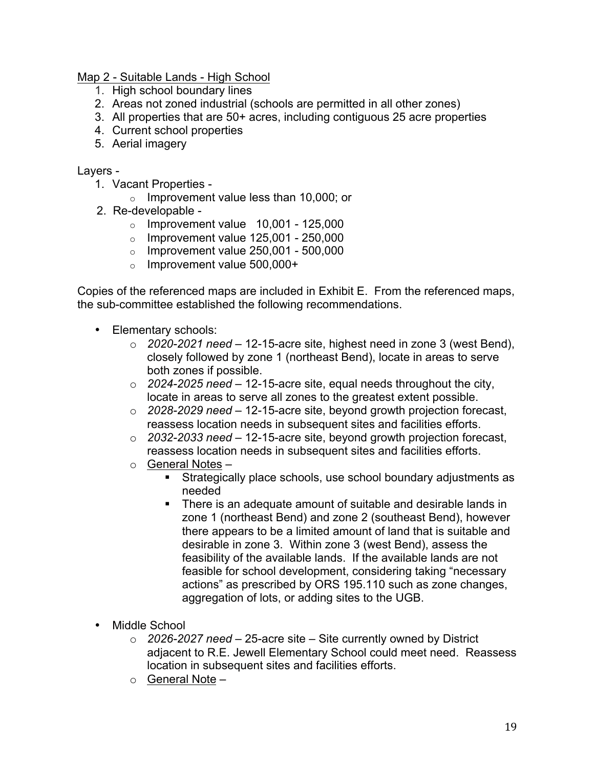Map 2 - Suitable Lands - High School

- 1. High school boundary lines
- 2. Areas not zoned industrial (schools are permitted in all other zones)
- 3. All properties that are 50+ acres, including contiguous 25 acre properties
- 4. Current school properties
- 5. Aerial imagery

#### Layers -

- 1. Vacant Properties
	- o Improvement value less than 10,000; or
- 2. Re-developable
	- $\circ$  Improvement value 10,001 125,000
	- $\circ$  Improvement value 125,001 250,000
	- $\circ$  Improvement value 250,001 500,000
	- o Improvement value 500,000+

Copies of the referenced maps are included in Exhibit E. From the referenced maps, the sub-committee established the following recommendations.

- Elementary schools:
	- o *2020-2021 need* 12-15-acre site, highest need in zone 3 (west Bend), closely followed by zone 1 (northeast Bend), locate in areas to serve both zones if possible.
	- o *2024-2025 need* 12-15-acre site, equal needs throughout the city, locate in areas to serve all zones to the greatest extent possible.
	- o *2028-2029 need* 12-15-acre site, beyond growth projection forecast, reassess location needs in subsequent sites and facilities efforts.
	- o *2032-2033 need* 12-15-acre site, beyond growth projection forecast, reassess location needs in subsequent sites and facilities efforts.
	- o General Notes
		- Strategically place schools, use school boundary adjustments as needed
		- § There is an adequate amount of suitable and desirable lands in zone 1 (northeast Bend) and zone 2 (southeast Bend), however there appears to be a limited amount of land that is suitable and desirable in zone 3. Within zone 3 (west Bend), assess the feasibility of the available lands. If the available lands are not feasible for school development, considering taking "necessary actions" as prescribed by ORS 195.110 such as zone changes, aggregation of lots, or adding sites to the UGB.
- Middle School
	- o *2026-2027 need* 25-acre site Site currently owned by District adjacent to R.E. Jewell Elementary School could meet need. Reassess location in subsequent sites and facilities efforts.
	- $\circ$  General Note –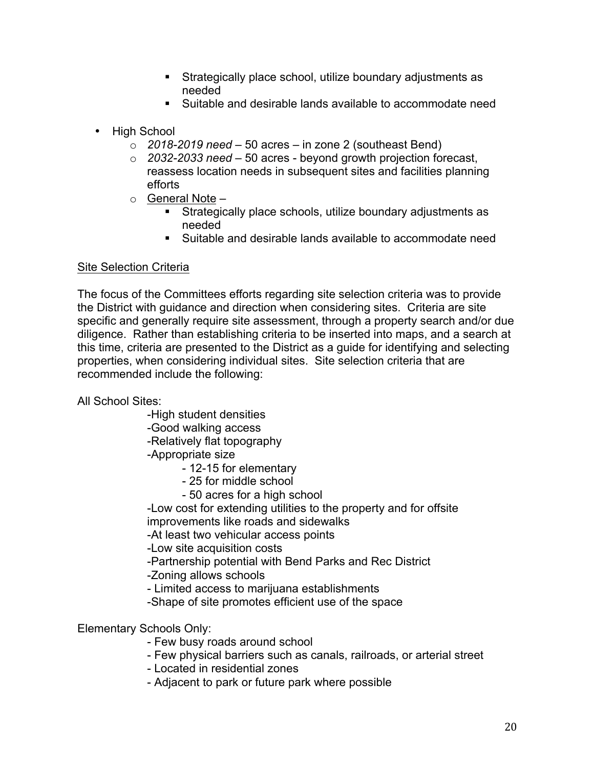- Strategically place school, utilize boundary adjustments as needed
- Suitable and desirable lands available to accommodate need
- High School
	- o *2018-2019 need* 50 acres in zone 2 (southeast Bend)
	- o *2032-2033 need* 50 acres beyond growth projection forecast, reassess location needs in subsequent sites and facilities planning efforts
	- $\circ$  General Note
		- § Strategically place schools, utilize boundary adjustments as needed
		- Suitable and desirable lands available to accommodate need

## Site Selection Criteria

The focus of the Committees efforts regarding site selection criteria was to provide the District with guidance and direction when considering sites. Criteria are site specific and generally require site assessment, through a property search and/or due diligence. Rather than establishing criteria to be inserted into maps, and a search at this time, criteria are presented to the District as a guide for identifying and selecting properties, when considering individual sites. Site selection criteria that are recommended include the following:

All School Sites:

-High student densities

-Good walking access

-Relatively flat topography

-Appropriate size

- 12-15 for elementary
- 25 for middle school
- 50 acres for a high school

-Low cost for extending utilities to the property and for offsite improvements like roads and sidewalks

-At least two vehicular access points

-Low site acquisition costs

-Partnership potential with Bend Parks and Rec District

-Zoning allows schools

- Limited access to marijuana establishments

-Shape of site promotes efficient use of the space

Elementary Schools Only:

- Few busy roads around school
- Few physical barriers such as canals, railroads, or arterial street

- Located in residential zones

- Adjacent to park or future park where possible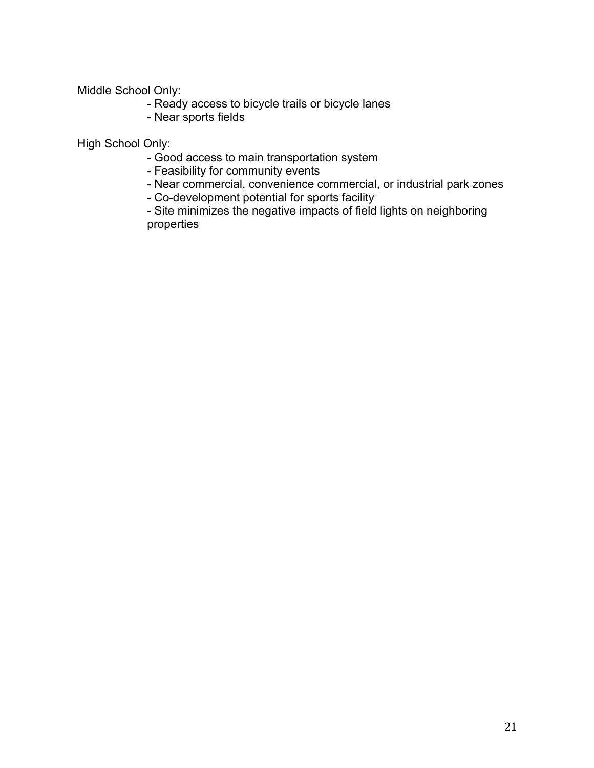Middle School Only:

- Ready access to bicycle trails or bicycle lanes
- Near sports fields

High School Only:

- Good access to main transportation system
- Feasibility for community events
- Near commercial, convenience commercial, or industrial park zones
- Co-development potential for sports facility

- Site minimizes the negative impacts of field lights on neighboring properties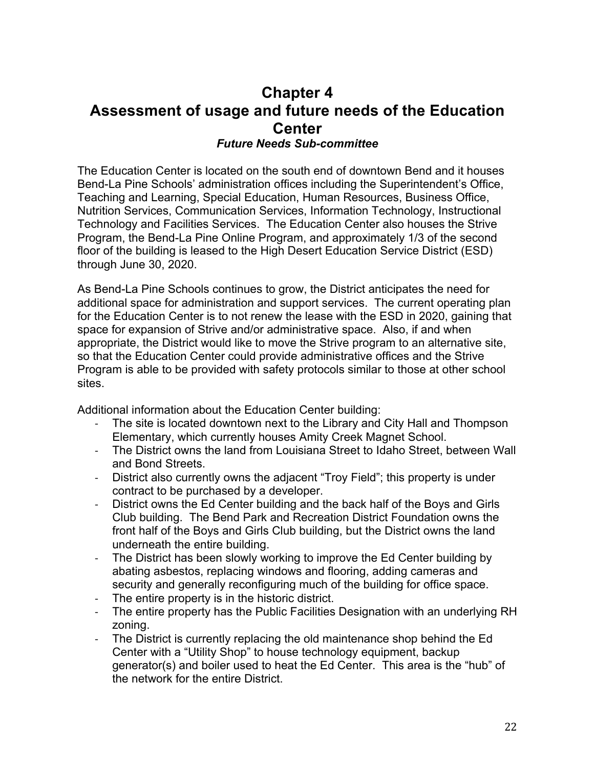## **Chapter 4 Assessment of usage and future needs of the Education Center** *Future Needs Sub-committee*

The Education Center is located on the south end of downtown Bend and it houses Bend-La Pine Schools' administration offices including the Superintendent's Office, Teaching and Learning, Special Education, Human Resources, Business Office, Nutrition Services, Communication Services, Information Technology, Instructional Technology and Facilities Services. The Education Center also houses the Strive Program, the Bend-La Pine Online Program, and approximately 1/3 of the second floor of the building is leased to the High Desert Education Service District (ESD) through June 30, 2020.

As Bend-La Pine Schools continues to grow, the District anticipates the need for additional space for administration and support services. The current operating plan for the Education Center is to not renew the lease with the ESD in 2020, gaining that space for expansion of Strive and/or administrative space. Also, if and when appropriate, the District would like to move the Strive program to an alternative site, so that the Education Center could provide administrative offices and the Strive Program is able to be provided with safety protocols similar to those at other school sites.

Additional information about the Education Center building:

- The site is located downtown next to the Library and City Hall and Thompson Elementary, which currently houses Amity Creek Magnet School.
- The District owns the land from Louisiana Street to Idaho Street, between Wall and Bond Streets.
- District also currently owns the adjacent "Troy Field"; this property is under contract to be purchased by a developer.
- District owns the Ed Center building and the back half of the Boys and Girls Club building. The Bend Park and Recreation District Foundation owns the front half of the Boys and Girls Club building, but the District owns the land underneath the entire building.
- The District has been slowly working to improve the Ed Center building by abating asbestos, replacing windows and flooring, adding cameras and security and generally reconfiguring much of the building for office space.
- The entire property is in the historic district.
- The entire property has the Public Facilities Designation with an underlying RH zoning.
- The District is currently replacing the old maintenance shop behind the Ed Center with a "Utility Shop" to house technology equipment, backup generator(s) and boiler used to heat the Ed Center. This area is the "hub" of the network for the entire District.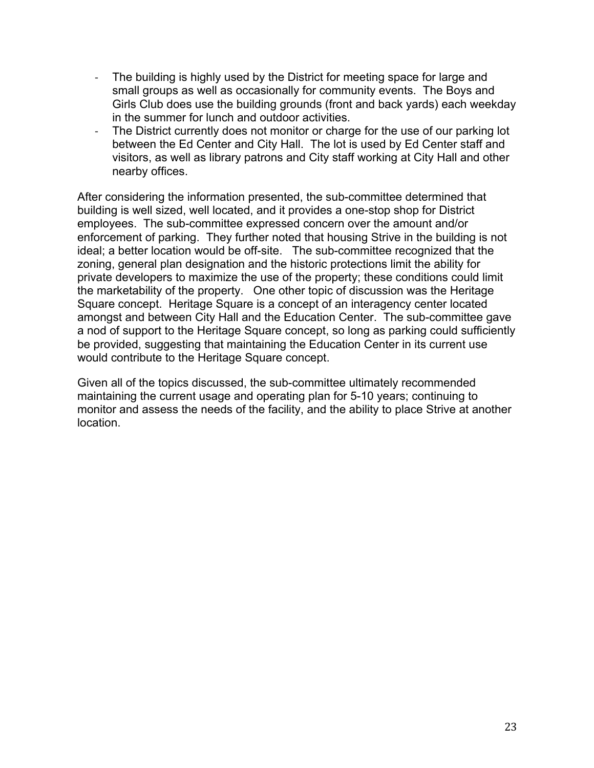- The building is highly used by the District for meeting space for large and small groups as well as occasionally for community events. The Boys and Girls Club does use the building grounds (front and back yards) each weekday in the summer for lunch and outdoor activities.
- The District currently does not monitor or charge for the use of our parking lot between the Ed Center and City Hall. The lot is used by Ed Center staff and visitors, as well as library patrons and City staff working at City Hall and other nearby offices.

After considering the information presented, the sub-committee determined that building is well sized, well located, and it provides a one-stop shop for District employees. The sub-committee expressed concern over the amount and/or enforcement of parking. They further noted that housing Strive in the building is not ideal; a better location would be off-site. The sub-committee recognized that the zoning, general plan designation and the historic protections limit the ability for private developers to maximize the use of the property; these conditions could limit the marketability of the property. One other topic of discussion was the Heritage Square concept. Heritage Square is a concept of an interagency center located amongst and between City Hall and the Education Center. The sub-committee gave a nod of support to the Heritage Square concept, so long as parking could sufficiently be provided, suggesting that maintaining the Education Center in its current use would contribute to the Heritage Square concept.

Given all of the topics discussed, the sub-committee ultimately recommended maintaining the current usage and operating plan for 5-10 years; continuing to monitor and assess the needs of the facility, and the ability to place Strive at another location.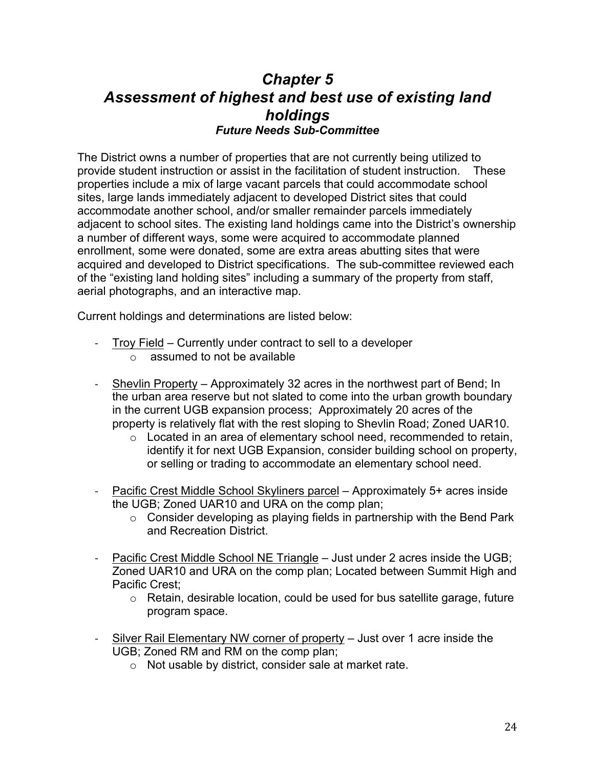# *Chapter 5 Assessment of highest and best use of existing land holdings Future Needs Sub-Committee*

The District owns a number of properties that are not currently being utilized to provide student instruction or assist in the facilitation of student instruction. These properties include a mix of large vacant parcels that could accommodate school sites, large lands immediately adjacent to developed District sites that could accommodate another school, and/or smaller remainder parcels immediately adjacent to school sites. The existing land holdings came into the District's ownership a number of different ways, some were acquired to accommodate planned enrollment, some were donated, some are extra areas abutting sites that were acquired and developed to District specifications. The sub-committee reviewed each of the "existing land holding sites" including a summary of the property from staff, aerial photographs, and an interactive map.

Current holdings and determinations are listed below:

- Troy Field Currently under contract to sell to a developer
	- $\circ$  assumed to not be available
- Shevlin Property Approximately 32 acres in the northwest part of Bend; In the urban area reserve but not slated to come into the urban growth boundary in the current UGB expansion process; Approximately 20 acres of the property is relatively flat with the rest sloping to Shevlin Road; Zoned UAR10.
	- $\circ$  Located in an area of elementary school need, recommended to retain, identify it for next UGB Expansion, consider building school on property, or selling or trading to accommodate an elementary school need.
- Pacific Crest Middle School Skyliners parcel Approximately 5+ acres inside the UGB; Zoned UAR10 and URA on the comp plan;
	- $\circ$  Consider developing as playing fields in partnership with the Bend Park and Recreation District.
- Pacific Crest Middle School NE Triangle Just under 2 acres inside the UGB; Zoned UAR10 and URA on the comp plan; Located between Summit High and Pacific Crest;
	- $\circ$  Retain, desirable location, could be used for bus satellite garage, future program space.
- Silver Rail Elementary NW corner of property Just over 1 acre inside the UGB; Zoned RM and RM on the comp plan;
	- o Not usable by district, consider sale at market rate.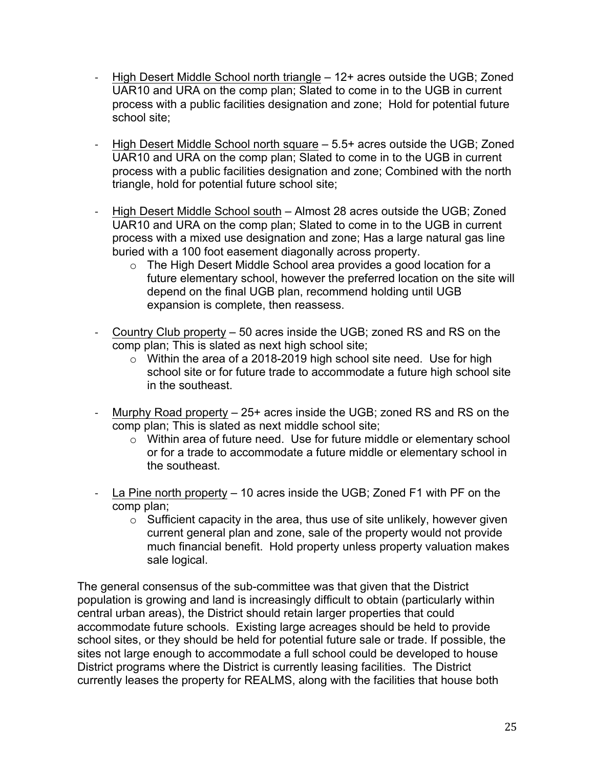- High Desert Middle School north triangle 12+ acres outside the UGB; Zoned UAR10 and URA on the comp plan; Slated to come in to the UGB in current process with a public facilities designation and zone; Hold for potential future school site;
- High Desert Middle School north square 5.5+ acres outside the UGB; Zoned UAR10 and URA on the comp plan; Slated to come in to the UGB in current process with a public facilities designation and zone; Combined with the north triangle, hold for potential future school site;
- High Desert Middle School south Almost 28 acres outside the UGB; Zoned UAR10 and URA on the comp plan; Slated to come in to the UGB in current process with a mixed use designation and zone; Has a large natural gas line buried with a 100 foot easement diagonally across property.
	- o The High Desert Middle School area provides a good location for a future elementary school, however the preferred location on the site will depend on the final UGB plan, recommend holding until UGB expansion is complete, then reassess.
- Country Club property 50 acres inside the UGB; zoned RS and RS on the comp plan; This is slated as next high school site;
	- $\circ$  Within the area of a 2018-2019 high school site need. Use for high school site or for future trade to accommodate a future high school site in the southeast.
- Murphy Road property 25+ acres inside the UGB; zoned RS and RS on the comp plan; This is slated as next middle school site;
	- o Within area of future need. Use for future middle or elementary school or for a trade to accommodate a future middle or elementary school in the southeast.
- La Pine north property 10 acres inside the UGB; Zoned F1 with PF on the comp plan;
	- $\circ$  Sufficient capacity in the area, thus use of site unlikely, however given current general plan and zone, sale of the property would not provide much financial benefit. Hold property unless property valuation makes sale logical.

The general consensus of the sub-committee was that given that the District population is growing and land is increasingly difficult to obtain (particularly within central urban areas), the District should retain larger properties that could accommodate future schools. Existing large acreages should be held to provide school sites, or they should be held for potential future sale or trade. If possible, the sites not large enough to accommodate a full school could be developed to house District programs where the District is currently leasing facilities. The District currently leases the property for REALMS, along with the facilities that house both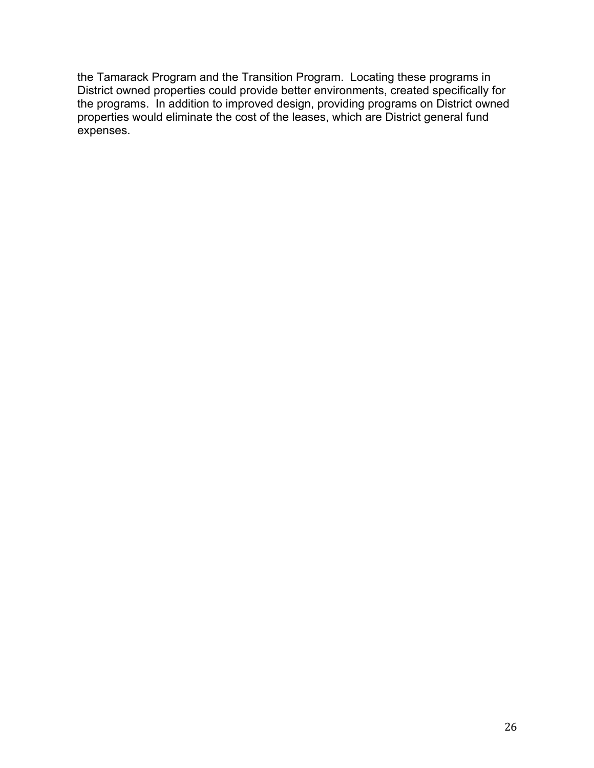the Tamarack Program and the Transition Program. Locating these programs in District owned properties could provide better environments, created specifically for the programs. In addition to improved design, providing programs on District owned properties would eliminate the cost of the leases, which are District general fund expenses.